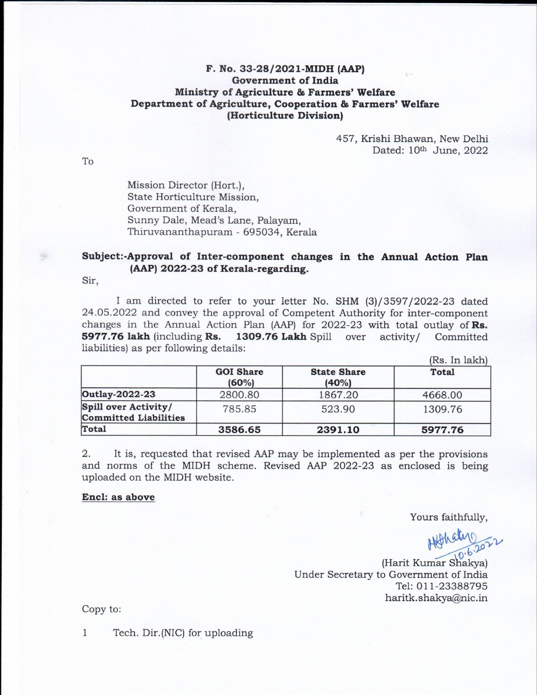## F. No. 33-28/2021-MIDH (AAP) **Government of India** Ministry of Agriculture & Farmers' Welfare Department of Agriculture, Cooperation & Farmers' Welfare (Horticulture Division)

457, Krishi Bhawan, New Delhi Dated: 10th June, 2022

Mission Director (Hort.), State Horticulture Mission. Government of Kerala, Sunny Dale, Mead's Lane, Palayam, Thiruvananthapuram - 695034, Kerala

## Subject:-Approval of Inter-component changes in the Annual Action Plan (AAP) 2022-23 of Kerala-regarding.

Sir.

To

I am directed to refer to your letter No. SHM (3)/3597/2022-23 dated 24.05.2022 and convey the approval of Competent Authority for inter-component changes in the Annual Action Plan (AAP) for 2022-23 with total outlay of  $\mathbf{Rs.}$ 5977.76 lakh (including Rs. 1309.76 Lakh Spill over activity/ Committed liabilities) as per following details:  $(D<sub>n</sub> I<sub>n</sub> 1<sub>n</sub>1<sub>n</sub>)$ 

|                                                      | <b>GOI Share</b><br>(60%) | <b>State Share</b><br>(40%) | $(KS, \Pi)$ lakin<br>Total |
|------------------------------------------------------|---------------------------|-----------------------------|----------------------------|
| Outlay-2022-23                                       | 2800.80                   | 1867.20                     | 4668.00                    |
| Spill over Activity/<br><b>Committed Liabilities</b> | 785.85                    | 523.90                      | 1309.76                    |
| Total                                                | 3586.65                   | 2391.10                     | 5977.76                    |

 $2.$ It is, requested that revised AAP may be implemented as per the provisions and norms of the MIDH scheme. Revised AAP 2022-23 as enclosed is being uploaded on the MIDH website.

## Encl: as above

Yours faithfully,

(Harit Kumar Shakya) Under Secretary to Government of India Tel: 011-23388795 haritk.shakya@nic.in

Copy to:

 $\mathbf{1}$ Tech. Dir.(NIC) for uploading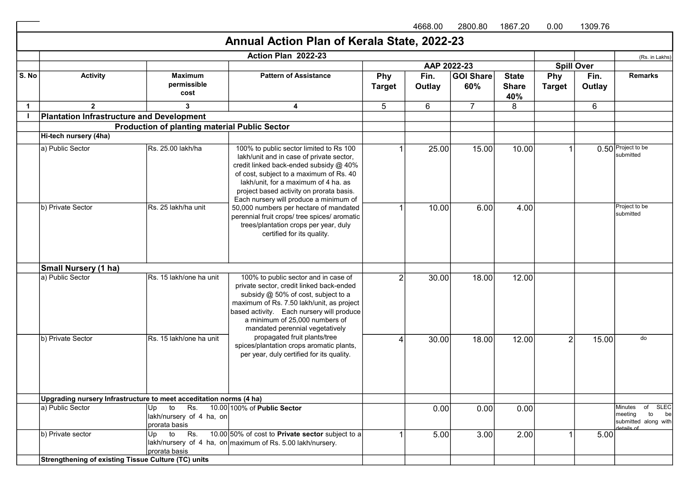4668.00 2800.80 1867.20 0.00 1309.76

## (Rs. in Lakhs) S. No **Activity Maximum** permissible cost Pattern of Assistance Phy **Target** Fin. **Outlay** GOI Share 60% **State Share** 40% Phy **Target** Fin. **Outlay** Remarks 1 2 3 3 4 5 6 7 8 6 I a) Public Sector Rs. 25.00 lakh/ha 100% to public sector limited to Rs 100 1 25.00 15.00 10.00 10.00 1 0.50 Project to be submitted b) Private Sector **RS. 25 lakh/ha unit** 50,000 numbers per hectare of mandated **1** 10.00 6.00 4.00 4.00 Project to be submitted a) Public Sector **Rs. 15 lakh/one ha unit** 2 100% to public sector and in case of **18.00** 18.00 12.00 b) Private Sector **Rs. 15 lakh/one ha unit** propagated fruit plants/tree 18.00 18.00 12.00 2 15.00 <sup>do</sup> a) Public Sector (Up to Rs. 10.00 100% of Public Sector lakh/nursery of 4 ha, on prorata basis 100% of Public Sector **100% of Public Sector** 10.00 0.00 0.00 0.00 Minutes of SLEC meeting to be submitted along with details of (b) Private sector in the Up to Rs. lakh/nursery of 4 ha, on $\vert$ maximum of Rs. 5.00 lakh/nursery. prorata basis 10.00 50% of cost to Private sector subject to a 1 5.00 3.00 2.00 1 5.00 Hi-tech nursery (4ha) lakh/unit and in case of private sector, credit linked back-ended subsidy @ 40% of cost, subject to a maximum of Rs. 40 lakh/unit, for a maximum of 4 ha. as project based activity on prorata basis. Each nursery will produce a minimum of perennial fruit crops/ tree spices/ aromatic trees/plantation crops per year, duly certified for its quality. **Small Nursery (1 ha)**<br>a) Public Sector private sector, credit linked back-ended subsidy @ 50% of cost, subject to a maximum of Rs. 7.50 lakh/unit, as project based activity. Each nursery will produce a minimum of 25,000 numbers of mandated perennial vegetatively propagated fruit plants/tree spices/plantation crops aromatic plants, per year, duly certified for its quality. Upgrading nursery Infrastructure to meet acceditation norms (4 ha) Strengthening of existing Tissue Culture (TC) units Annual Action Plan of Kerala State, 2022-23 Action Plan 2022-23 AAP 2022-23 Spill Over Plantation Infrastructure and Development Production of planting material Public Sector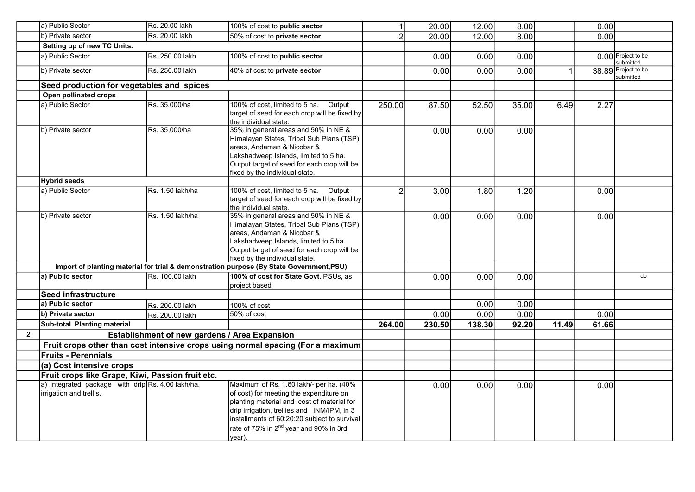| 50% of cost to private sector<br>100% of cost to public sector<br>40% of cost to private sector<br>Seed production for vegetables and spices<br>100% of cost, limited to 5 ha.<br>Output<br>target of seed for each crop will be fixed by<br>the individual state.<br>35% in general areas and 50% in NE &<br>Himalayan States, Tribal Sub Plans (TSP)<br>areas, Andaman & Nicobar &<br>Lakshadweep Islands, limited to 5 ha.<br>Output target of seed for each crop will be<br>fixed by the individual state.<br>100% of cost, limited to 5 ha.<br>Output<br>target of seed for each crop will be fixed by<br>the individual state.<br>35% in general areas and 50% in NE &<br>Himalayan States, Tribal Sub Plans (TSP)<br>areas. Andaman & Nicobar &<br>Lakshadweep Islands, limited to 5 ha. | $\overline{2}$<br>250.00                                                                                                                      | 20.00<br>0.00<br>0.00<br>87.50<br>0.00<br>3.00<br>0.00 | 12.00<br>0.00<br>0.00<br>52.50<br>0.00<br>1.80<br>0.00 | 8.00<br>0.00<br>0.00<br>35.00<br>0.00<br>1.20<br>0.00 | 6.49  | 0.00<br>2.27<br>0.00<br>0.00 | 0.00 Project to be<br>submitted<br>38.89 Project to be<br>submitted                                        |
|-------------------------------------------------------------------------------------------------------------------------------------------------------------------------------------------------------------------------------------------------------------------------------------------------------------------------------------------------------------------------------------------------------------------------------------------------------------------------------------------------------------------------------------------------------------------------------------------------------------------------------------------------------------------------------------------------------------------------------------------------------------------------------------------------|-----------------------------------------------------------------------------------------------------------------------------------------------|--------------------------------------------------------|--------------------------------------------------------|-------------------------------------------------------|-------|------------------------------|------------------------------------------------------------------------------------------------------------|
|                                                                                                                                                                                                                                                                                                                                                                                                                                                                                                                                                                                                                                                                                                                                                                                                 |                                                                                                                                               |                                                        |                                                        |                                                       |       |                              |                                                                                                            |
|                                                                                                                                                                                                                                                                                                                                                                                                                                                                                                                                                                                                                                                                                                                                                                                                 |                                                                                                                                               |                                                        |                                                        |                                                       |       |                              |                                                                                                            |
|                                                                                                                                                                                                                                                                                                                                                                                                                                                                                                                                                                                                                                                                                                                                                                                                 |                                                                                                                                               |                                                        |                                                        |                                                       |       |                              |                                                                                                            |
|                                                                                                                                                                                                                                                                                                                                                                                                                                                                                                                                                                                                                                                                                                                                                                                                 |                                                                                                                                               |                                                        |                                                        |                                                       |       |                              |                                                                                                            |
|                                                                                                                                                                                                                                                                                                                                                                                                                                                                                                                                                                                                                                                                                                                                                                                                 |                                                                                                                                               |                                                        |                                                        |                                                       |       |                              |                                                                                                            |
|                                                                                                                                                                                                                                                                                                                                                                                                                                                                                                                                                                                                                                                                                                                                                                                                 |                                                                                                                                               |                                                        |                                                        |                                                       |       |                              |                                                                                                            |
|                                                                                                                                                                                                                                                                                                                                                                                                                                                                                                                                                                                                                                                                                                                                                                                                 |                                                                                                                                               |                                                        |                                                        |                                                       |       |                              |                                                                                                            |
|                                                                                                                                                                                                                                                                                                                                                                                                                                                                                                                                                                                                                                                                                                                                                                                                 |                                                                                                                                               |                                                        |                                                        |                                                       |       |                              |                                                                                                            |
|                                                                                                                                                                                                                                                                                                                                                                                                                                                                                                                                                                                                                                                                                                                                                                                                 |                                                                                                                                               |                                                        |                                                        |                                                       |       |                              |                                                                                                            |
|                                                                                                                                                                                                                                                                                                                                                                                                                                                                                                                                                                                                                                                                                                                                                                                                 |                                                                                                                                               |                                                        |                                                        |                                                       |       |                              |                                                                                                            |
| Output target of seed for each crop will be<br>fixed by the individual state.                                                                                                                                                                                                                                                                                                                                                                                                                                                                                                                                                                                                                                                                                                                   |                                                                                                                                               |                                                        |                                                        |                                                       |       |                              |                                                                                                            |
| Import of planting material for trial & demonstration purpose (By State Government, PSU)                                                                                                                                                                                                                                                                                                                                                                                                                                                                                                                                                                                                                                                                                                        |                                                                                                                                               |                                                        |                                                        |                                                       |       |                              |                                                                                                            |
| 100% of cost for State Govt. PSUs, as<br>project based                                                                                                                                                                                                                                                                                                                                                                                                                                                                                                                                                                                                                                                                                                                                          |                                                                                                                                               | 0.00                                                   | 0.00                                                   | 0.00                                                  |       |                              | do                                                                                                         |
|                                                                                                                                                                                                                                                                                                                                                                                                                                                                                                                                                                                                                                                                                                                                                                                                 |                                                                                                                                               |                                                        |                                                        |                                                       |       |                              |                                                                                                            |
| 100% of cost                                                                                                                                                                                                                                                                                                                                                                                                                                                                                                                                                                                                                                                                                                                                                                                    |                                                                                                                                               |                                                        | 0.00                                                   | 0.00                                                  |       |                              |                                                                                                            |
| 50% of cost                                                                                                                                                                                                                                                                                                                                                                                                                                                                                                                                                                                                                                                                                                                                                                                     |                                                                                                                                               | 0.00                                                   | 0.00                                                   | 0.00                                                  |       | 0.00                         |                                                                                                            |
|                                                                                                                                                                                                                                                                                                                                                                                                                                                                                                                                                                                                                                                                                                                                                                                                 | 264.00                                                                                                                                        | 230.50                                                 | 138.30                                                 | 92.20                                                 | 11.49 | 61.66                        |                                                                                                            |
| Establishment of new gardens / Area Expansion                                                                                                                                                                                                                                                                                                                                                                                                                                                                                                                                                                                                                                                                                                                                                   |                                                                                                                                               |                                                        |                                                        |                                                       |       |                              |                                                                                                            |
| Fruit crops other than cost intensive crops using normal spacing (For a maximum                                                                                                                                                                                                                                                                                                                                                                                                                                                                                                                                                                                                                                                                                                                 |                                                                                                                                               |                                                        |                                                        |                                                       |       |                              |                                                                                                            |
|                                                                                                                                                                                                                                                                                                                                                                                                                                                                                                                                                                                                                                                                                                                                                                                                 |                                                                                                                                               |                                                        |                                                        |                                                       |       |                              |                                                                                                            |
|                                                                                                                                                                                                                                                                                                                                                                                                                                                                                                                                                                                                                                                                                                                                                                                                 |                                                                                                                                               |                                                        |                                                        |                                                       |       |                              |                                                                                                            |
|                                                                                                                                                                                                                                                                                                                                                                                                                                                                                                                                                                                                                                                                                                                                                                                                 |                                                                                                                                               |                                                        |                                                        |                                                       |       |                              |                                                                                                            |
| Maximum of Rs. 1.60 lakh/- per ha. (40%<br>of cost) for meeting the expenditure on                                                                                                                                                                                                                                                                                                                                                                                                                                                                                                                                                                                                                                                                                                              |                                                                                                                                               | 0.00                                                   | 0.00                                                   | 0.00                                                  |       |                              |                                                                                                            |
|                                                                                                                                                                                                                                                                                                                                                                                                                                                                                                                                                                                                                                                                                                                                                                                                 | Fruit crops like Grape, Kiwi, Passion fruit etc.<br>planting material and cost of material for<br>drip irrigation, trellies and INM/IPM, in 3 |                                                        |                                                        |                                                       |       |                              | 0.00<br>installments of 60:20:20 subject to survival<br>rate of 75% in 2 <sup>nd</sup> year and 90% in 3rd |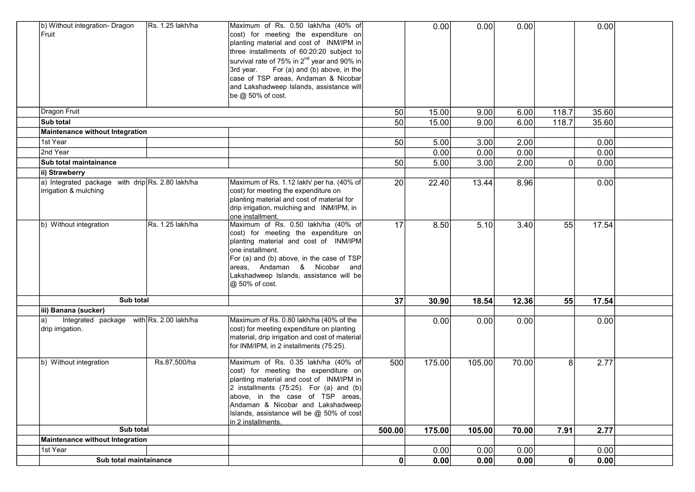| b) Without integration- Dragon<br>Fruit                                   | Rs. 1.25 lakh/ha | Maximum of Rs. 0.50 lakh/ha (40% of<br>cost) for meeting the expenditure on<br>planting material and cost of INM/IPM in<br>three installments of 60:20:20 subject to<br>survival rate of 75% in 2 <sup>nd</sup> year and 90% in<br>3rd year. For (a) and (b) above, in the<br>case of TSP areas, Andaman & Nicobar<br>and Lakshadweep Islands, assistance will<br>be @ 50% of cost. |        | 0.00   | 0.00   | 0.00  |              | 0.00  |  |
|---------------------------------------------------------------------------|------------------|-------------------------------------------------------------------------------------------------------------------------------------------------------------------------------------------------------------------------------------------------------------------------------------------------------------------------------------------------------------------------------------|--------|--------|--------|-------|--------------|-------|--|
| Dragon Fruit                                                              |                  |                                                                                                                                                                                                                                                                                                                                                                                     | 50     | 15.00  | 9.00   | 6.00  | 118.7        | 35.60 |  |
| Sub total                                                                 |                  |                                                                                                                                                                                                                                                                                                                                                                                     | 50     | 15.00  | 9.00   | 6.00  | 118.7        | 35.60 |  |
| Maintenance without Integration                                           |                  |                                                                                                                                                                                                                                                                                                                                                                                     |        |        |        |       |              |       |  |
| 1st Year                                                                  |                  |                                                                                                                                                                                                                                                                                                                                                                                     | 50     | 5.00   | 3.00   | 2.00  |              | 0.00  |  |
| 2nd Year                                                                  |                  |                                                                                                                                                                                                                                                                                                                                                                                     |        | 0.00   | 0.00   | 0.00  |              | 0.00  |  |
| Sub total maintainance                                                    |                  |                                                                                                                                                                                                                                                                                                                                                                                     | 50     | 5.00   | 3.00   | 2.00  | $\Omega$     | 0.00  |  |
| ii) Strawberry                                                            |                  |                                                                                                                                                                                                                                                                                                                                                                                     |        |        |        |       |              |       |  |
| a) Integrated package with drip Rs. 2.80 lakh/ha<br>irrigation & mulching |                  | Maximum of Rs. 1.12 lakh/ per ha. (40% of<br>cost) for meeting the expenditure on<br>planting material and cost of material for<br>drip irrigation, mulching and INM/IPM, in<br>one installment.                                                                                                                                                                                    | 20     | 22.40  | 13.44  | 8.96  |              | 0.00  |  |
| b) Without integration                                                    | Rs. 1.25 lakh/ha | Maximum of Rs. 0.50 lakh/ha (40% of<br>cost) for meeting the expenditure on<br>planting material and cost of INM/IPM<br>one installment.<br>For (a) and (b) above, in the case of TSP<br>areas, Andaman & Nicobar and<br>Lakshadweep Islands, assistance will be<br>@ 50% of cost.                                                                                                  | 17     | 8.50   | 5.10   | 3.40  | 55           | 17.54 |  |
| Sub total                                                                 |                  |                                                                                                                                                                                                                                                                                                                                                                                     | 37     | 30.90  | 18.54  | 12.36 | 55           | 17.54 |  |
| iii) Banana (sucker)                                                      |                  |                                                                                                                                                                                                                                                                                                                                                                                     |        |        |        |       |              |       |  |
| Integrated package with Rs. 2.00 lakh/ha<br>la)<br>drip irrigation.       |                  | Maximum of Rs. 0.80 lakh/ha (40% of the<br>cost) for meeting expenditure on planting<br>material, drip irrigation and cost of material<br>for INM/IPM, in 2 installments (75:25).                                                                                                                                                                                                   |        | 0.00   | 0.00   | 0.00  |              | 0.00  |  |
| b) Without integration                                                    | Rs.87,500/ha     | Maximum of Rs. 0.35 lakh/ha (40% of<br>cost) for meeting the expenditure on<br>planting material and cost of INM/IPM in<br>2 installments (75:25). For (a) and (b)<br>above, in the case of TSP areas,<br>Andaman & Nicobar and Lakshadweep<br>Islands, assistance will be $@$ 50% of cost<br>in 2 installments.                                                                    | 500    | 175.00 | 105.00 | 70.00 | 8            | 2.77  |  |
| Sub total                                                                 |                  |                                                                                                                                                                                                                                                                                                                                                                                     | 500.00 | 175.00 | 105.00 | 70.00 | 7.91         | 2.77  |  |
| Maintenance without Integration                                           |                  |                                                                                                                                                                                                                                                                                                                                                                                     |        |        |        |       |              |       |  |
| 1st Year                                                                  |                  |                                                                                                                                                                                                                                                                                                                                                                                     |        | 0.00   | 0.00   | 0.00  |              | 0.00  |  |
| Sub total maintainance                                                    |                  |                                                                                                                                                                                                                                                                                                                                                                                     | 0      | 0.00   | 0.00   | 0.00  | $\mathbf{0}$ | 0.00  |  |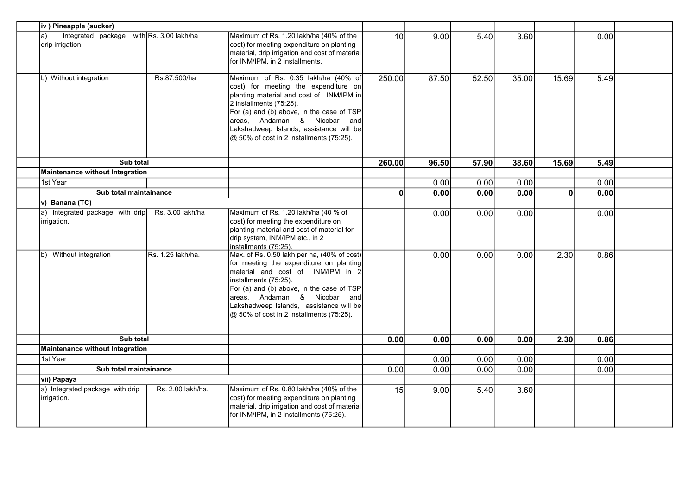| iv ) Pineapple (sucker)                                            |                   |                                                                                                                                                                                                                                                                                                                          |                 |       |        |       |              |      |  |
|--------------------------------------------------------------------|-------------------|--------------------------------------------------------------------------------------------------------------------------------------------------------------------------------------------------------------------------------------------------------------------------------------------------------------------------|-----------------|-------|--------|-------|--------------|------|--|
| Integrated package with Rs. 3.00 lakh/ha<br>a)<br>drip irrigation. |                   | Maximum of Rs. 1.20 lakh/ha (40% of the<br>cost) for meeting expenditure on planting<br>material, drip irrigation and cost of material<br>for INM/IPM, in 2 installments.                                                                                                                                                | 10 <sup>1</sup> | 9.00  | $5.40$ | 3.60  |              | 0.00 |  |
| b) Without integration                                             | Rs.87,500/ha      | Maximum of Rs. 0.35 lakh/ha (40% of<br>cost) for meeting the expenditure on<br>planting material and cost of INM/IPM in<br>2 installments (75:25).<br>For (a) and (b) above, in the case of TSP<br>areas, Andaman & Nicobar and<br>Lakshadweep Islands, assistance will be<br>@ 50% of cost in 2 installments (75:25).   | 250.00          | 87.50 | 52.50  | 35.00 | 15.69        | 5.49 |  |
| Sub total                                                          |                   |                                                                                                                                                                                                                                                                                                                          | 260.00          | 96.50 | 57.90  | 38.60 | 15.69        | 5.49 |  |
| Maintenance without Integration                                    |                   |                                                                                                                                                                                                                                                                                                                          |                 |       |        |       |              |      |  |
| 1st Year                                                           |                   |                                                                                                                                                                                                                                                                                                                          |                 | 0.00  | 0.00   | 0.00  |              | 0.00 |  |
| Sub total maintainance                                             |                   |                                                                                                                                                                                                                                                                                                                          | $\mathbf{0}$    | 0.00  | 0.00   | 0.00  | $\mathbf{0}$ | 0.00 |  |
| v) Banana (TC)                                                     |                   |                                                                                                                                                                                                                                                                                                                          |                 |       |        |       |              |      |  |
| a) Integrated package with drip<br>irrigation.                     | Rs. 3.00 lakh/ha  | Maximum of Rs. 1.20 lakh/ha (40 % of<br>cost) for meeting the expenditure on<br>planting material and cost of material for<br>drip system, INM/IPM etc., in 2<br>installments (75:25).                                                                                                                                   |                 | 0.00  | 0.00   | 0.00  |              | 0.00 |  |
| b) Without integration                                             | Rs. 1.25 lakh/ha. | Max. of Rs. 0.50 lakh per ha, (40% of cost)<br>for meeting the expenditure on planting<br>material and cost of INM/IPM in 2<br>installments (75:25).<br>For (a) and (b) above, in the case of TSP<br>areas, Andaman & Nicobar and<br>Lakshadweep Islands, assistance will be<br>@ 50% of cost in 2 installments (75:25). |                 | 0.00  | 0.00   | 0.00  | 2.30         | 0.86 |  |
| Sub total                                                          |                   |                                                                                                                                                                                                                                                                                                                          | 0.00            | 0.00  | 0.00   | 0.00  | 2.30         | 0.86 |  |
| Maintenance without Integration                                    |                   |                                                                                                                                                                                                                                                                                                                          |                 |       |        |       |              |      |  |
| 1st Year                                                           |                   |                                                                                                                                                                                                                                                                                                                          |                 | 0.00  | 0.00   | 0.00  |              | 0.00 |  |
| Sub total maintainance                                             |                   |                                                                                                                                                                                                                                                                                                                          | 0.00            | 0.00  | 0.00   | 0.00  |              | 0.00 |  |
| vii) Papaya                                                        |                   |                                                                                                                                                                                                                                                                                                                          |                 |       |        |       |              |      |  |
| a) Integrated package with drip<br>irrigation.                     | Rs. 2.00 lakh/ha. | Maximum of Rs. 0.80 lakh/ha (40% of the<br>cost) for meeting expenditure on planting<br>material, drip irrigation and cost of material<br>for INM/IPM, in 2 installments (75:25).                                                                                                                                        | 15              | 9.00  | 5.40   | 3.60  |              |      |  |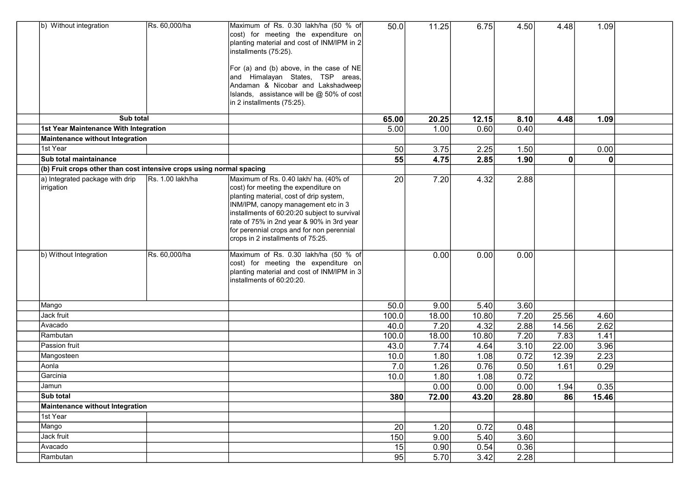| b) Without integration                                               | Rs. 60,000/ha    | Maximum of Rs. 0.30 lakh/ha (50 % of<br>cost) for meeting the expenditure on<br>planting material and cost of INM/IPM in 2<br>installments (75:25).<br>For (a) and (b) above, in the case of NE<br>and Himalayan States, TSP areas,<br>Andaman & Nicobar and Lakshadweep<br>Islands, assistance will be @ 50% of cost<br>in 2 installments (75:25). | 50.0            | 11.25 | 6.75  | 4.50  | 4.48         | 1.09  |  |
|----------------------------------------------------------------------|------------------|-----------------------------------------------------------------------------------------------------------------------------------------------------------------------------------------------------------------------------------------------------------------------------------------------------------------------------------------------------|-----------------|-------|-------|-------|--------------|-------|--|
| Sub total                                                            |                  |                                                                                                                                                                                                                                                                                                                                                     | 65.00           | 20.25 | 12.15 | 8.10  | 4.48         | 1.09  |  |
| 1st Year Maintenance With Integration                                |                  |                                                                                                                                                                                                                                                                                                                                                     | 5.00            | 1.00  | 0.60  | 0.40  |              |       |  |
| Maintenance without Integration                                      |                  |                                                                                                                                                                                                                                                                                                                                                     |                 |       |       |       |              |       |  |
| 1st Year                                                             |                  |                                                                                                                                                                                                                                                                                                                                                     | 50              | 3.75  | 2.25  | 1.50  |              | 0.00  |  |
| <b>Sub total maintainance</b>                                        |                  |                                                                                                                                                                                                                                                                                                                                                     | 55              | 4.75  | 2.85  | 1.90  | $\mathbf{0}$ | 0     |  |
| (b) Fruit crops other than cost intensive crops using normal spacing |                  |                                                                                                                                                                                                                                                                                                                                                     |                 |       |       |       |              |       |  |
| a) Integrated package with drip<br>irrigation                        | Rs. 1.00 lakh/ha | Maximum of Rs. 0.40 lakh/ ha. (40% of<br>cost) for meeting the expenditure on<br>planting material, cost of drip system,<br>INM/IPM, canopy management etc in 3<br>installments of 60:20:20 subject to survival<br>rate of 75% in 2nd year & 90% in 3rd year<br>for perennial crops and for non perennial<br>crops in 2 installments of 75:25.      | 20              | 7.20  | 4.32  | 2.88  |              |       |  |
| b) Without Integration                                               | Rs. 60,000/ha    | Maximum of Rs. 0.30 lakh/ha (50 % of<br>cost) for meeting the expenditure on<br>planting material and cost of INM/IPM in 3<br>installments of 60:20:20.                                                                                                                                                                                             |                 | 0.00  | 0.00  | 0.00  |              |       |  |
| Mango                                                                |                  |                                                                                                                                                                                                                                                                                                                                                     | 50.0            | 9.00  | 5.40  | 3.60  |              |       |  |
| Jack fruit                                                           |                  |                                                                                                                                                                                                                                                                                                                                                     | 100.0           | 18.00 | 10.80 | 7.20  | 25.56        | 4.60  |  |
| Avacado                                                              |                  |                                                                                                                                                                                                                                                                                                                                                     | 40.0            | 7.20  | 4.32  | 2.88  | 14.56        | 2.62  |  |
| Rambutan                                                             |                  |                                                                                                                                                                                                                                                                                                                                                     | 100.0           | 18.00 | 10.80 | 7.20  | 7.83         | 1.41  |  |
| Passion fruit                                                        |                  |                                                                                                                                                                                                                                                                                                                                                     | 43.0            | 7.74  | 4.64  | 3.10  | 22.00        | 3.96  |  |
| Mangosteen                                                           |                  |                                                                                                                                                                                                                                                                                                                                                     | 10.0            | 1.80  | 1.08  | 0.72  | 12.39        | 2.23  |  |
| Aonla                                                                |                  |                                                                                                                                                                                                                                                                                                                                                     | 7.0             | 1.26  | 0.76  | 0.50  | 1.61         | 0.29  |  |
| Garcinia                                                             |                  |                                                                                                                                                                                                                                                                                                                                                     | 10.0            | 1.80  | 1.08  | 0.72  |              |       |  |
| Jamun                                                                |                  |                                                                                                                                                                                                                                                                                                                                                     |                 | 0.00  | 0.00  | 0.00  | 1.94         | 0.35  |  |
| Sub total                                                            |                  |                                                                                                                                                                                                                                                                                                                                                     | 380             | 72.00 | 43.20 | 28.80 | 86           | 15.46 |  |
| <b>Maintenance without Integration</b>                               |                  |                                                                                                                                                                                                                                                                                                                                                     |                 |       |       |       |              |       |  |
| 1st Year                                                             |                  |                                                                                                                                                                                                                                                                                                                                                     |                 |       |       |       |              |       |  |
| Mango                                                                |                  |                                                                                                                                                                                                                                                                                                                                                     | 20 <sub>1</sub> | 1.20  | 0.72  | 0.48  |              |       |  |
| Jack fruit                                                           |                  |                                                                                                                                                                                                                                                                                                                                                     | 150             | 9.00  | 5.40  | 3.60  |              |       |  |
| Avacado                                                              |                  |                                                                                                                                                                                                                                                                                                                                                     | 15              | 0.90  | 0.54  | 0.36  |              |       |  |
| Rambutan                                                             |                  |                                                                                                                                                                                                                                                                                                                                                     | 95              | 5.70  | 3.42  | 2.28  |              |       |  |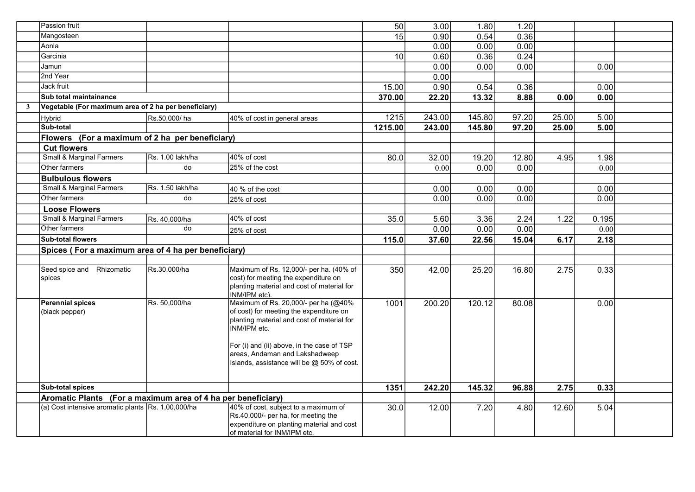|                         | Passion fruit                                                |                  |                                                                                                                                                                                                                                                                             | 50                  | 3.00   | 1.80   | 1.20  |       |       |  |
|-------------------------|--------------------------------------------------------------|------------------|-----------------------------------------------------------------------------------------------------------------------------------------------------------------------------------------------------------------------------------------------------------------------------|---------------------|--------|--------|-------|-------|-------|--|
|                         | Mangosteen                                                   |                  |                                                                                                                                                                                                                                                                             | 15                  | 0.90   | 0.54   | 0.36  |       |       |  |
|                         | Aonla                                                        |                  |                                                                                                                                                                                                                                                                             |                     | 0.00   | 0.00   | 0.00  |       |       |  |
|                         | Garcinia                                                     |                  |                                                                                                                                                                                                                                                                             | 10                  | 0.60   | 0.36   | 0.24  |       |       |  |
|                         | Jamun                                                        |                  |                                                                                                                                                                                                                                                                             |                     | 0.00   | 0.00   | 0.00  |       | 0.00  |  |
|                         | 2nd Year                                                     |                  |                                                                                                                                                                                                                                                                             |                     | 0.00   |        |       |       |       |  |
|                         | Jack fruit                                                   |                  |                                                                                                                                                                                                                                                                             | 15.00               | 0.90   | 0.54   | 0.36  |       | 0.00  |  |
|                         | Sub total maintainance                                       |                  |                                                                                                                                                                                                                                                                             | 370.00              | 22.20  | 13.32  | 8.88  | 0.00  | 0.00  |  |
| $\overline{\mathbf{3}}$ | Vegetable (For maximum area of 2 ha per beneficiary)         |                  |                                                                                                                                                                                                                                                                             |                     |        |        |       |       |       |  |
|                         | Hybrid                                                       | Rs.50,000/ha     | 40% of cost in general areas                                                                                                                                                                                                                                                | 1215                | 243.00 | 145.80 | 97.20 | 25.00 | 5.00  |  |
|                         | Sub-total                                                    |                  |                                                                                                                                                                                                                                                                             | 1215.00             | 243.00 | 145.80 | 97.20 | 25.00 | 5.00  |  |
|                         | Flowers (For a maximum of 2 ha per beneficiary)              |                  |                                                                                                                                                                                                                                                                             |                     |        |        |       |       |       |  |
|                         | <b>Cut flowers</b>                                           |                  |                                                                                                                                                                                                                                                                             |                     |        |        |       |       |       |  |
|                         | <b>Small &amp; Marginal Farmers</b>                          | Rs. 1.00 lakh/ha | 40% of cost                                                                                                                                                                                                                                                                 | 80.0                | 32.00  | 19.20  | 12.80 | 4.95  | 1.98  |  |
|                         | Other farmers                                                | do               | 25% of the cost                                                                                                                                                                                                                                                             |                     | 0.00   | 0.00   | 0.00  |       | 0.00  |  |
|                         | <b>Bulbulous flowers</b>                                     |                  |                                                                                                                                                                                                                                                                             |                     |        |        |       |       |       |  |
|                         | <b>Small &amp; Marginal Farmers</b>                          | Rs. 1.50 lakh/ha | 40 % of the cost                                                                                                                                                                                                                                                            |                     | 0.00   | 0.00   | 0.00  |       | 0.00  |  |
|                         | Other farmers                                                | do               | 25% of cost                                                                                                                                                                                                                                                                 |                     | 0.00   | 0.00   | 0.00  |       | 0.00  |  |
|                         | <b>Loose Flowers</b>                                         |                  |                                                                                                                                                                                                                                                                             |                     |        |        |       |       |       |  |
|                         | <b>Small &amp; Marginal Farmers</b>                          | Rs. 40,000/ha    | 40% of cost                                                                                                                                                                                                                                                                 | 35.0                | 5.60   | 3.36   | 2.24  | 1.22  | 0.195 |  |
|                         | Other farmers                                                | do               | 25% of cost                                                                                                                                                                                                                                                                 |                     | 0.00   | 0.00   | 0.00  |       | 0.00  |  |
|                         | <b>Sub-total flowers</b>                                     |                  |                                                                                                                                                                                                                                                                             | 115.0               | 37.60  | 22.56  | 15.04 | 6.17  | 2.18  |  |
|                         | Spices (For a maximum area of 4 ha per beneficiary)          |                  |                                                                                                                                                                                                                                                                             |                     |        |        |       |       |       |  |
|                         |                                                              |                  |                                                                                                                                                                                                                                                                             |                     |        |        |       |       |       |  |
|                         | Seed spice and Rhizomatic<br>spices                          | Rs.30,000/ha     | Maximum of Rs. 12,000/- per ha. (40% of<br>cost) for meeting the expenditure on<br>planting material and cost of material for<br>INM/IPM etc).                                                                                                                              | 350                 | 42.00  | 25.20  | 16.80 | 2.75  | 0.33  |  |
|                         | Perennial spices<br>(black pepper)                           | Rs. 50,000/ha    | Maximum of Rs. 20,000/- per ha (@40%<br>of cost) for meeting the expenditure on<br>planting material and cost of material for<br>INM/IPM etc.<br>For (i) and (ii) above, in the case of TSP<br>areas, Andaman and Lakshadweep<br>Islands, assistance will be @ 50% of cost. | $\frac{1001}{1000}$ | 200.20 | 120.12 | 80.08 |       | 0.00  |  |
|                         | <b>Sub-total spices</b>                                      |                  |                                                                                                                                                                                                                                                                             | 1351                | 242.20 | 145.32 | 96.88 | 2.75  | 0.33  |  |
|                         | Aromatic Plants (For a maximum area of 4 ha per beneficiary) |                  |                                                                                                                                                                                                                                                                             |                     |        |        |       |       |       |  |
|                         | (a) Cost intensive aromatic plants Rs. 1,00,000/ha           |                  | 40% of cost, subject to a maximum of<br>Rs.40,000/- per ha, for meeting the<br>expenditure on planting material and cost<br>of material for INM/IPM etc.                                                                                                                    | 30.0                | 12.00  | 7.20   | 4.80  | 12.60 | 5.04  |  |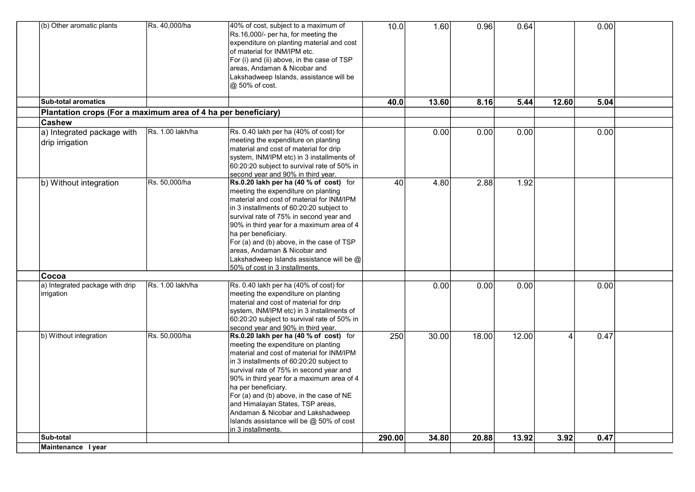| (b) Other aromatic plants                                     | Rs. 40,000/ha    | 40% of cost, subject to a maximum of<br>Rs.16,000/- per ha, for meeting the<br>expenditure on planting material and cost<br>of material for INM/IPM etc.<br>For (i) and (ii) above, in the case of TSP<br>areas, Andaman & Nicobar and<br>Lakshadweep Islands, assistance will be<br>@ 50% of cost.                                                                                                                                                                          | 10.0             | 1.60  | 0.96  | 0.64  |       | 0.00 |  |
|---------------------------------------------------------------|------------------|------------------------------------------------------------------------------------------------------------------------------------------------------------------------------------------------------------------------------------------------------------------------------------------------------------------------------------------------------------------------------------------------------------------------------------------------------------------------------|------------------|-------|-------|-------|-------|------|--|
| <b>Sub-total aromatics</b>                                    |                  |                                                                                                                                                                                                                                                                                                                                                                                                                                                                              | 40.0             | 13.60 | 8.16  | 5.44  | 12.60 | 5.04 |  |
| Plantation crops (For a maximum area of 4 ha per beneficiary) |                  |                                                                                                                                                                                                                                                                                                                                                                                                                                                                              |                  |       |       |       |       |      |  |
| <b>Cashew</b>                                                 |                  |                                                                                                                                                                                                                                                                                                                                                                                                                                                                              |                  |       |       |       |       |      |  |
| a) Integrated package with<br>drip irrigation                 | Rs. 1.00 lakh/ha | Rs. 0.40 lakh per ha (40% of cost) for<br>meeting the expenditure on planting<br>material and cost of material for drip<br>system, INM/IPM etc) in 3 installments of<br>60:20:20 subject to survival rate of 50% in<br>second year and 90% in third year.                                                                                                                                                                                                                    |                  | 0.00  | 0.00  | 0.00  |       | 0.00 |  |
| b) Without integration                                        | Rs. 50,000/ha    | Rs.0.20 lakh per ha (40 % of cost) for<br>meeting the expenditure on planting<br>material and cost of material for INM/IPM<br>in 3 installments of 60:20:20 subject to<br>survival rate of 75% in second year and<br>90% in third year for a maximum area of 4<br>ha per beneficiary.<br>For (a) and (b) above, in the case of TSP<br>areas. Andaman & Nicobar and<br>Lakshadweep Islands assistance will be @<br>50% of cost in 3 installments.                             | 40               | 4.80  | 2.88  | 1.92  |       |      |  |
| ∣Cocoa                                                        |                  |                                                                                                                                                                                                                                                                                                                                                                                                                                                                              |                  |       |       |       |       |      |  |
| a) Integrated package with drip<br><i>irrigation</i>          | Rs. 1.00 lakh/ha | Rs. 0.40 lakh per ha (40% of cost) for<br>meeting the expenditure on planting<br>material and cost of material for drip<br>system, INM/IPM etc) in 3 installments of<br>60:20:20 subject to survival rate of 50% in<br>second year and 90% in third year.                                                                                                                                                                                                                    |                  | 0.00  | 0.00  | 0.00  |       | 0.00 |  |
| b) Without integration                                        | Rs. 50,000/ha    | Rs.0.20 lakh per ha (40 % of cost) for<br>meeting the expenditure on planting<br>material and cost of material for INM/IPM<br>in 3 installments of 60:20:20 subject to<br>survival rate of 75% in second year and<br>90% in third year for a maximum area of 4<br>ha per beneficiary.<br>For (a) and (b) above, in the case of NE<br>and Himalayan States, TSP areas,<br>Andaman & Nicobar and Lakshadweep<br>Islands assistance will be @ 50% of cost<br>in 3 installments. | $\overline{250}$ | 30.00 | 18.00 | 12.00 | 4     | 0.47 |  |
| Sub-total                                                     |                  |                                                                                                                                                                                                                                                                                                                                                                                                                                                                              | 290.00           | 34.80 | 20.88 | 13.92 | 3.92  | 0.47 |  |
| Maintenance Iyear                                             |                  |                                                                                                                                                                                                                                                                                                                                                                                                                                                                              |                  |       |       |       |       |      |  |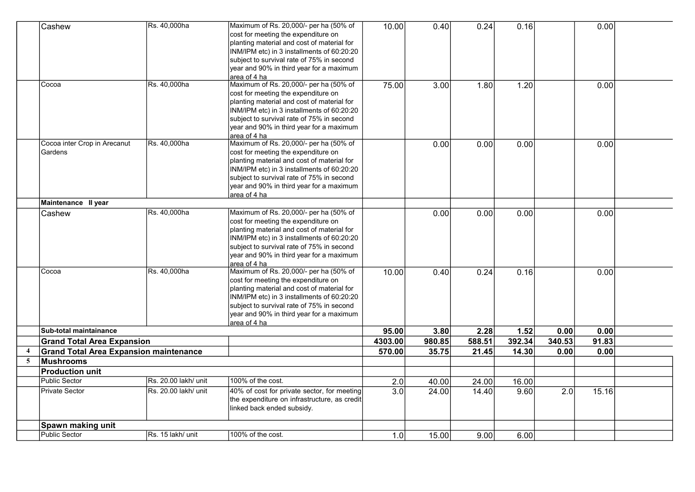|                         | Cashew                                        | Rs. 40,000ha         | Maximum of Rs. 20,000/- per ha (50% of<br>cost for meeting the expenditure on<br>planting material and cost of material for<br>INM/IPM etc) in 3 installments of 60:20:20<br>subject to survival rate of 75% in second<br>year and 90% in third year for a maximum<br>area of 4 ha | 10.00   | 0.40   | 0.24   | 0.16   |        | 0.00  |  |
|-------------------------|-----------------------------------------------|----------------------|------------------------------------------------------------------------------------------------------------------------------------------------------------------------------------------------------------------------------------------------------------------------------------|---------|--------|--------|--------|--------|-------|--|
|                         | Cocoa                                         | Rs. 40,000ha         | Maximum of Rs. 20,000/- per ha (50% of<br>cost for meeting the expenditure on<br>planting material and cost of material for<br>INM/IPM etc) in 3 installments of 60:20:20<br>subject to survival rate of 75% in second<br>year and 90% in third year for a maximum<br>area of 4 ha | 75.00   | 3.00   | 1.80   | 1.20   |        | 0.00  |  |
|                         | Cocoa inter Crop in Arecanut<br>Gardens       | Rs. 40,000ha         | Maximum of Rs. 20,000/- per ha (50% of<br>cost for meeting the expenditure on<br>planting material and cost of material for<br>INM/IPM etc) in 3 installments of 60:20:20<br>subject to survival rate of 75% in second<br>year and 90% in third year for a maximum<br>area of 4 ha |         | 0.00   | 0.00   | 0.00   |        | 0.00  |  |
|                         | Maintenance II year                           |                      |                                                                                                                                                                                                                                                                                    |         |        |        |        |        |       |  |
|                         | Cashew                                        | Rs. 40,000ha         | Maximum of Rs. 20,000/- per ha (50% of<br>cost for meeting the expenditure on<br>planting material and cost of material for<br>INM/IPM etc) in 3 installments of 60:20:20<br>subject to survival rate of 75% in second<br>year and 90% in third year for a maximum<br>area of 4 ha |         | 0.00   | 0.00   | 0.00   |        | 0.00  |  |
|                         | Cocoa                                         | Rs. 40,000ha         | Maximum of Rs. 20,000/- per ha (50% of<br>cost for meeting the expenditure on<br>planting material and cost of material for<br>INM/IPM etc) in 3 installments of 60:20:20<br>subject to survival rate of 75% in second<br>year and 90% in third year for a maximum<br>area of 4 ha | 10.00   | 0.40   | 0.24   | 0.16   |        | 0.00  |  |
|                         | Sub-total maintainance                        |                      |                                                                                                                                                                                                                                                                                    | 95.00   | 3.80   | 2.28   | 1.52   | 0.00   | 0.00  |  |
|                         | <b>Grand Total Area Expansion</b>             |                      |                                                                                                                                                                                                                                                                                    | 4303.00 | 980.85 | 588.51 | 392.34 | 340.53 | 91.83 |  |
| $\overline{\mathbf{4}}$ | <b>Grand Total Area Expansion maintenance</b> |                      |                                                                                                                                                                                                                                                                                    | 570.00  | 35.75  | 21.45  | 14.30  | 0.00   | 0.00  |  |
| 5                       | Mushrooms                                     |                      |                                                                                                                                                                                                                                                                                    |         |        |        |        |        |       |  |
|                         | <b>Production unit</b>                        |                      |                                                                                                                                                                                                                                                                                    |         |        |        |        |        |       |  |
|                         | <b>Public Sector</b>                          | Rs. 20.00 lakh/ unit | 100% of the cost.                                                                                                                                                                                                                                                                  | 2.0     | 40.00  | 24.00  | 16.00  |        |       |  |
|                         | <b>Private Sector</b>                         | Rs. 20.00 lakh/ unit | 40% of cost for private sector, for meeting<br>the expenditure on infrastructure, as credit<br>linked back ended subsidy.                                                                                                                                                          | 3.0     | 24.00  | 14.40  | 9.60   | 2.0    | 15.16 |  |
|                         | Spawn making unit                             |                      |                                                                                                                                                                                                                                                                                    |         |        |        |        |        |       |  |
|                         | Public Sector                                 | Rs. 15 lakh/ unit    | 100% of the cost.                                                                                                                                                                                                                                                                  | 1.0     | 15.00  | 9.00   | 6.00   |        |       |  |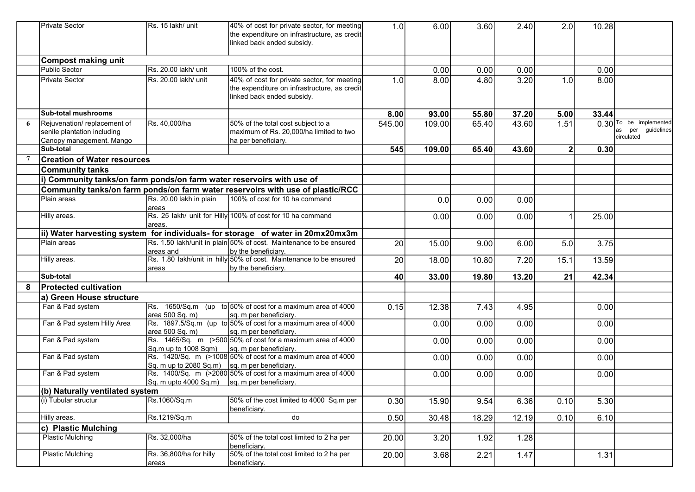|   | <b>Private Sector</b>                                                                  | Rs. 15 lakh/ unit                                             | 40% of cost for private sector, for meeting<br>the expenditure on infrastructure, as credit<br>linked back ended subsidy. | 1.0             | 6.00   | 3.60  | 2.40  | 2.0            | 10.28 |                                                             |
|---|----------------------------------------------------------------------------------------|---------------------------------------------------------------|---------------------------------------------------------------------------------------------------------------------------|-----------------|--------|-------|-------|----------------|-------|-------------------------------------------------------------|
|   | <b>Compost making unit</b>                                                             |                                                               |                                                                                                                           |                 |        |       |       |                |       |                                                             |
|   | <b>Public Sector</b>                                                                   | Rs. 20.00 lakh/ unit                                          | 100% of the cost.                                                                                                         |                 | 0.00   | 0.00  | 0.00  |                | 0.00  |                                                             |
|   | <b>Private Sector</b>                                                                  | Rs. 20.00 lakh/ unit                                          | 40% of cost for private sector, for meeting<br>the expenditure on infrastructure, as credit<br>linked back ended subsidy. | 1.0             | 8.00   | 4.80  | 3.20  | 1.0            | 8.00  |                                                             |
|   | <b>Sub-total mushrooms</b>                                                             |                                                               |                                                                                                                           | 8.00            | 93.00  | 55.80 | 37.20 | 5.00           | 33.44 |                                                             |
|   | Rejuvenation/replacement of<br>senile plantation including<br>Canopy management. Mango | Rs. 40,000/ha                                                 | 50% of the total cost subject to a<br>maximum of Rs. 20.000/ha limited to two<br>ha per beneficiary.                      | 545.00          | 109.00 | 65.40 | 43.60 | 1.51           |       | $0.30$ To be implemented<br>as per guidelines<br>circulated |
|   | Sub-total                                                                              |                                                               |                                                                                                                           | 545             | 109.00 | 65.40 | 43.60 | 2 <sub>1</sub> | 0.30  |                                                             |
|   | <b>Creation of Water resources</b>                                                     |                                                               |                                                                                                                           |                 |        |       |       |                |       |                                                             |
|   | <b>Community tanks</b>                                                                 |                                                               |                                                                                                                           |                 |        |       |       |                |       |                                                             |
|   | i) Community tanks/on farm ponds/on farm water reservoirs with use of                  |                                                               |                                                                                                                           |                 |        |       |       |                |       |                                                             |
|   |                                                                                        |                                                               | Community tanks/on farm ponds/on farm water reservoirs with use of plastic/RCC                                            |                 |        |       |       |                |       |                                                             |
|   | Plain areas                                                                            | Rs. 20.00 lakh in plain<br>areas                              | 100% of cost for 10 ha command                                                                                            |                 | 0.0    | 0.00  | 0.00  |                |       |                                                             |
|   | Hilly areas.                                                                           | areas.                                                        | Rs. 25 lakh/ unit for Hilly 100% of cost for 10 ha command                                                                |                 | 0.00   | 0.00  | 0.00  |                | 25.00 |                                                             |
|   |                                                                                        |                                                               | ii) Water harvesting system for individuals- for storage of water in 20mx20mx3m                                           |                 |        |       |       |                |       |                                                             |
|   | Plain areas                                                                            | areas and                                                     | Rs. 1.50 lakh/unit in plain 50% of cost. Maintenance to be ensured<br>by the beneficiary.                                 | 20 <sup>1</sup> | 15.00  | 9.00  | 6.00  | 5.0            | 3.75  |                                                             |
|   | Hilly areas.                                                                           | areas                                                         | Rs. 1.80 lakh/unit in hilly 50% of cost. Maintenance to be ensured<br>by the beneficiary.                                 | 20              | 18.00  | 10.80 | 7.20  | 15.1           | 13.59 |                                                             |
|   | Sub-total                                                                              |                                                               |                                                                                                                           | 40              | 33.00  | 19.80 | 13.20 | 21             | 42.34 |                                                             |
| 8 | <b>Protected cultivation</b>                                                           |                                                               |                                                                                                                           |                 |        |       |       |                |       |                                                             |
|   | a) Green House structure                                                               |                                                               |                                                                                                                           |                 |        |       |       |                |       |                                                             |
|   | Fan & Pad system                                                                       | area 500 Sq. m)                                               | $\text{Rs.}$ 1650/Sq.m (up to 50% of cost for a maximum area of 4000<br>sq. m per beneficiary.                            | 0.15            | 12.38  | 7.43  | 4.95  |                | 0.00  |                                                             |
|   | Fan & Pad system Hilly Area                                                            | area 500 Sq. m)                                               | Rs. 1897.5/Sq.m (up to 50% of cost for a maximum area of 4000<br>sq. m per beneficiary.                                   |                 | 0.00   | 0.00  | 0.00  |                | 0.00  |                                                             |
|   | Fan & Pad system                                                                       | Sq.m up to 1008 Sqm)                                          | Rs. 1465/Sq. m (>500 50% of cost for a maximum area of 4000<br>sq. m per beneficiary.                                     |                 | 0.00   | 0.00  | 0.00  |                | 0.00  |                                                             |
|   | Fan & Pad system                                                                       | $\vert$ Sq. m up to 2080 Sq.m) $\vert$ sq. m per beneficiary. | Rs. 1420/Sq. m (>1008 50% of cost for a maximum area of 4000                                                              |                 | 0.00   | 0.00  | 0.00  |                | 0.00  |                                                             |
|   | Fan & Pad system                                                                       | Sq. m upto 4000 Sq.m)   sq. m per beneficiary.                | Rs. 1400/Sq. m (>2080 50% of cost for a maximum area of 4000                                                              |                 | 0.00   | 0.00  | 0.00  |                | 0.00  |                                                             |
|   | (b) Naturally ventilated system                                                        |                                                               |                                                                                                                           |                 |        |       |       |                |       |                                                             |
|   | (i) Tubular structur                                                                   | Rs.1060/Sq.m                                                  | 50% of the cost limited to 4000 Sq.m per<br>beneficiary.                                                                  | 0.30            | 15.90  | 9.54  | 6.36  | 0.10           | 5.30  |                                                             |
|   | Hilly areas.                                                                           | Rs.1219/Sq.m                                                  | do                                                                                                                        | 0.50            | 30.48  | 18.29 | 12.19 | 0.10           | 6.10  |                                                             |
|   | c) Plastic Mulching                                                                    |                                                               |                                                                                                                           |                 |        |       |       |                |       |                                                             |
|   | <b>Plastic Mulching</b>                                                                | Rs. 32,000/ha                                                 | 50% of the total cost limited to 2 ha per<br>beneficiary.                                                                 | 20.00           | 3.20   | 1.92  | 1.28  |                |       |                                                             |
|   | <b>Plastic Mulching</b>                                                                | Rs. 36,800/ha for hilly<br>areas                              | 50% of the total cost limited to 2 ha per<br>beneficiary.                                                                 | 20.00           | 3.68   | 2.21  | 1.47  |                | 1.31  |                                                             |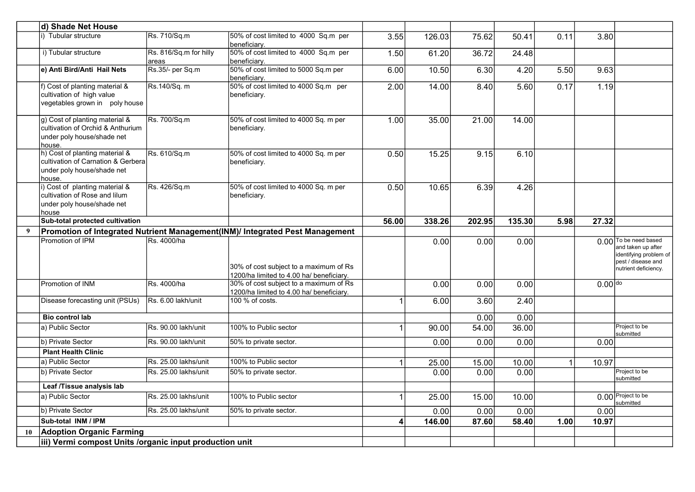|    | d) Shade Net House                                                                                           |                                 |                                                                                                                                |       |        |        |        |      |           |                                                                                             |
|----|--------------------------------------------------------------------------------------------------------------|---------------------------------|--------------------------------------------------------------------------------------------------------------------------------|-------|--------|--------|--------|------|-----------|---------------------------------------------------------------------------------------------|
|    | i) Tubular structure                                                                                         | Rs. 710/Sq.m                    | 50% of cost limited to 4000 Sq.m per<br>beneficiary.                                                                           | 3.55  | 126.03 | 75.62  | 50.41  | 0.11 | 3.80      |                                                                                             |
|    | i) Tubular structure                                                                                         | Rs. 816/Sq.m for hilly<br>areas | 50% of cost limited to 4000 Sq.m per<br>beneficiarv.                                                                           | 1.50  | 61.20  | 36.72  | 24.48  |      |           |                                                                                             |
|    | e) Anti Bird/Anti Hail Nets                                                                                  | Rs.35/- per Sq.m                | 50% of cost limited to 5000 Sq.m per<br>beneficiary.                                                                           | 6.00  | 10.50  | 6.30   | 4.20   | 5.50 | 9.63      |                                                                                             |
|    | f) Cost of planting material &<br>cultivation of high value<br>vegetables grown in poly house                | Rs.140/Sq. m                    | 50% of cost limited to 4000 Sq.m per<br>beneficiary.                                                                           | 2.00  | 14.00  | 8.40   | 5.60   | 0.17 | 1.19      |                                                                                             |
|    | g) Cost of planting material &<br>cultivation of Orchid & Anthurium<br>under poly house/shade net<br>house.  | Rs. 700/Sq.m                    | 50% of cost limited to 4000 Sq. m per<br>beneficiary.                                                                          | 1.00  | 35.00  | 21.00  | 14.00  |      |           |                                                                                             |
|    | h) Cost of planting material &<br>cultivation of Carnation & Gerbera<br>under poly house/shade net<br>house. | Rs. 610/Sq.m                    | 50% of cost limited to 4000 Sq. m per<br>beneficiary.                                                                          | 0.50  | 15.25  | 9.15   | 6.10   |      |           |                                                                                             |
|    | i) Cost of planting material &<br>cultivation of Rose and lilum<br>under poly house/shade net<br>house       | Rs. 426/Sq.m                    | 50% of cost limited to 4000 Sq. m per<br>beneficiary.                                                                          | 0.50  | 10.65  | 6.39   | 4.26   |      |           |                                                                                             |
|    | Sub-total protected cultivation                                                                              |                                 |                                                                                                                                | 56.00 | 338.26 | 202.95 | 135.30 | 5.98 | 27.32     |                                                                                             |
| 9  |                                                                                                              |                                 | Promotion of Integrated Nutrient Management(INM)/ Integrated Pest Management                                                   |       |        |        |        |      |           |                                                                                             |
|    | Promotion of IPM                                                                                             | Rs. 4000/ha                     |                                                                                                                                |       | 0.00   | 0.00   | 0.00   |      |           | 0.00 To be need based<br>and taken up after<br>identifying problem of<br>pest / disease and |
|    |                                                                                                              |                                 | 30% of cost subject to a maximum of Rs                                                                                         |       |        |        |        |      |           | nutrient deficiency.                                                                        |
|    | Promotion of INM                                                                                             | Rs. 4000/ha                     | 1200/ha limited to 4.00 ha/ beneficiary.<br>30% of cost subject to a maximum of Rs<br>1200/ha limited to 4.00 ha/ beneficiary. |       | 0.00   | 0.00   | 0.00   |      | $0.00$ do |                                                                                             |
|    | Disease forecasting unit (PSUs)                                                                              | Rs. 6.00 lakh/unit              | 100 % of costs.                                                                                                                |       | 6.00   | 3.60   | 2.40   |      |           |                                                                                             |
|    | <b>Bio control lab</b>                                                                                       |                                 |                                                                                                                                |       |        | 0.00   | 0.00   |      |           |                                                                                             |
|    | a) Public Sector                                                                                             | Rs. 90.00 lakh/unit             | 100% to Public sector                                                                                                          |       | 90.00  | 54.00  | 36.00  |      |           | Project to be<br>submitted                                                                  |
|    | b) Private Sector                                                                                            | Rs. 90.00 lakh/unit             | 50% to private sector.                                                                                                         |       | 0.00   | 0.00   | 0.00   |      | 0.00      |                                                                                             |
|    | <b>Plant Health Clinic</b>                                                                                   |                                 |                                                                                                                                |       |        |        |        |      |           |                                                                                             |
|    | a) Public Sector                                                                                             | Rs. 25.00 lakhs/unit            | 100% to Public sector                                                                                                          |       | 25.00  | 15.00  | 10.00  | 1    | 10.97     |                                                                                             |
|    | b) Private Sector                                                                                            | Rs. 25.00 lakhs/unit            | 50% to private sector.                                                                                                         |       | 0.00   | 0.00   | 0.00   |      |           | Project to be<br>submitted                                                                  |
|    | Leaf /Tissue analysis lab                                                                                    |                                 |                                                                                                                                |       |        |        |        |      |           |                                                                                             |
|    | a) Public Sector                                                                                             | Rs. 25.00 lakhs/unit            | 100% to Public sector                                                                                                          | 1     | 25.00  | 15.00  | 10.00  |      |           | 0.00 Project to be<br>submitted                                                             |
|    | b) Private Sector                                                                                            | Rs. 25.00 lakhs/unit            | 50% to private sector.                                                                                                         |       | 0.00   | 0.00   | 0.00   |      | 0.00      |                                                                                             |
|    | Sub-total INM / IPM                                                                                          |                                 |                                                                                                                                | 4     | 146.00 | 87.60  | 58.40  | 1.00 | 10.97     |                                                                                             |
| 10 | <b>Adoption Organic Farming</b><br>iii) Vermi compost Units /organic input production unit                   |                                 |                                                                                                                                |       |        |        |        |      |           |                                                                                             |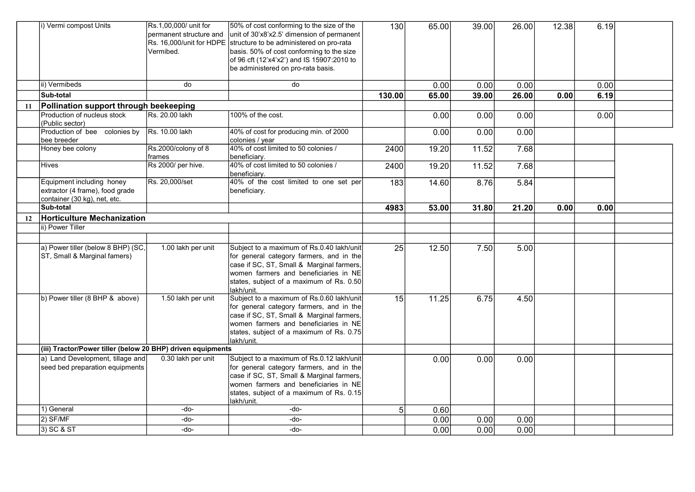|    | i) Vermi compost Units                                                                       | Rs.1,00,000/ unit for<br>permanent structure and<br>Rs. 16,000/unit for HDPE<br>Vermibed. | 50% of cost conforming to the size of the<br>unit of 30'x8'x2.5' dimension of permanent<br>structure to be administered on pro-rata<br>basis. 50% of cost conforming to the size<br>of 96 cft (12'x4'x2') and IS 15907:2010 to<br>be administered on pro-rata basis. | 130            | 65.00 | 39.00 | 26.00 | 12.38 | 6.19 |  |
|----|----------------------------------------------------------------------------------------------|-------------------------------------------------------------------------------------------|----------------------------------------------------------------------------------------------------------------------------------------------------------------------------------------------------------------------------------------------------------------------|----------------|-------|-------|-------|-------|------|--|
|    | ii) Vermibeds                                                                                | do                                                                                        | do                                                                                                                                                                                                                                                                   |                | 0.00  | 0.00  | 0.00  |       | 0.00 |  |
|    | Sub-total                                                                                    |                                                                                           |                                                                                                                                                                                                                                                                      | 130.00         | 65.00 | 39.00 | 26.00 | 0.00  | 6.19 |  |
| 11 | Pollination support through beekeeping                                                       |                                                                                           |                                                                                                                                                                                                                                                                      |                |       |       |       |       |      |  |
|    | Production of nucleus stock<br>(Public sector)                                               | IRs. 20.00 lakh                                                                           | 100% of the cost.                                                                                                                                                                                                                                                    |                | 0.00  | 0.00  | 0.00  |       | 0.00 |  |
|    | Production of bee colonies by<br>bee breeder                                                 | Rs. 10.00 lakh                                                                            | 40% of cost for producing min. of 2000<br>colonies / year                                                                                                                                                                                                            |                | 0.00  | 0.00  | 0.00  |       |      |  |
|    | Honey bee colony                                                                             | Rs.2000/colony of 8<br>frames                                                             | 40% of cost limited to 50 colonies /<br>beneficiary.                                                                                                                                                                                                                 | 2400           | 19.20 | 11.52 | 7.68  |       |      |  |
|    | <b>Hives</b>                                                                                 | Rs 2000/ per hive.                                                                        | 40% of cost limited to 50 colonies /<br>beneficiary.                                                                                                                                                                                                                 | 2400           | 19.20 | 11.52 | 7.68  |       |      |  |
|    | Equipment including honey<br>extractor (4 frame), food grade<br>container (30 kg), net, etc. | Rs. 20,000/set                                                                            | 40% of the cost limited to one set per<br>beneficiary.                                                                                                                                                                                                               | 183            | 14.60 | 8.76  | 5.84  |       |      |  |
|    | Sub-total                                                                                    |                                                                                           |                                                                                                                                                                                                                                                                      | 4983           | 53.00 | 31.80 | 21.20 | 0.00  | 0.00 |  |
| 12 | <b>Horticulture Mechanization</b>                                                            |                                                                                           |                                                                                                                                                                                                                                                                      |                |       |       |       |       |      |  |
|    | ii) Power Tiller                                                                             |                                                                                           |                                                                                                                                                                                                                                                                      |                |       |       |       |       |      |  |
|    |                                                                                              |                                                                                           |                                                                                                                                                                                                                                                                      |                |       |       |       |       |      |  |
|    | a) Power tiller (below 8 BHP) (SC,<br>ST, Small & Marginal famers)                           | 1.00 lakh per unit                                                                        | Subject to a maximum of Rs.0.40 lakh/unit<br>for general category farmers, and in the<br>case if SC, ST, Small & Marginal farmers,<br>women farmers and beneficiaries in NE<br>states, subject of a maximum of Rs. 0.50<br>lakh/unit.                                | 25             | 12.50 | 7.50  | 5.00  |       |      |  |
|    | b) Power tiller (8 BHP & above)                                                              | 1.50 lakh per unit                                                                        | Subject to a maximum of Rs.0.60 lakh/unit<br>for general category farmers, and in the<br>case if SC, ST, Small & Marginal farmers,<br>women farmers and beneficiaries in NE<br>states, subject of a maximum of Rs. 0.75<br>lakh/unit.                                | 15             | 11.25 | 6.75  | 4.50  |       |      |  |
|    | (iii) Tractor/Power tiller (below 20 BHP) driven equipments                                  |                                                                                           |                                                                                                                                                                                                                                                                      |                |       |       |       |       |      |  |
|    | a) Land Development, tillage and<br>seed bed preparation equipments                          | 0.30 lakh per unit                                                                        | Subject to a maximum of Rs.0.12 lakh/unit<br>for general category farmers, and in the<br>case if SC, ST, Small & Marginal farmers,<br>women farmers and beneficiaries in NE<br>states, subject of a maximum of Rs. 0.15<br>lakh/unit.                                |                | 0.00  | 0.00  | 0.00  |       |      |  |
|    | 1) General                                                                                   | -do-                                                                                      | -do-                                                                                                                                                                                                                                                                 | 5 <sup>1</sup> | 0.60  |       |       |       |      |  |
|    | $2)$ SF/MF                                                                                   | -do-                                                                                      | -do-                                                                                                                                                                                                                                                                 |                | 0.00  | 0.00  | 0.00  |       |      |  |
|    | $3)$ SC & ST                                                                                 | -do-                                                                                      | -do-                                                                                                                                                                                                                                                                 |                | 0.00  | 0.00  | 0.00  |       |      |  |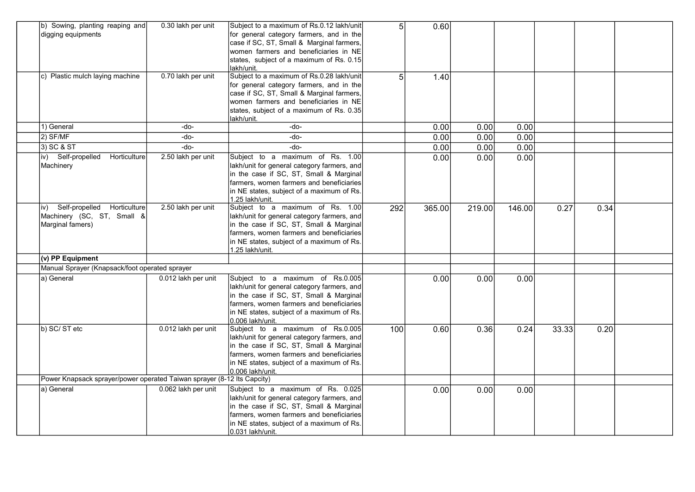| b) Sowing, planting reaping and<br>digging equipments<br>c) Plastic mulch laying machine | 0.30 lakh per unit<br>0.70 lakh per unit | Subject to a maximum of Rs.0.12 lakh/unit<br>for general category farmers, and in the<br>case if SC, ST, Small & Marginal farmers,<br>women farmers and beneficiaries in NE<br>states, subject of a maximum of Rs. 0.15<br>lakh/unit.<br>Subject to a maximum of Rs.0.28 lakh/unit<br>for general category farmers, and in the<br>case if SC, ST, Small & Marginal farmers,<br>women farmers and beneficiaries in NE<br>states, subject of a maximum of Rs. 0.35<br>lakh/unit. | 5 <sup>1</sup><br>5 | 0.60<br>1.40 |        |        |       |      |  |
|------------------------------------------------------------------------------------------|------------------------------------------|--------------------------------------------------------------------------------------------------------------------------------------------------------------------------------------------------------------------------------------------------------------------------------------------------------------------------------------------------------------------------------------------------------------------------------------------------------------------------------|---------------------|--------------|--------|--------|-------|------|--|
| 1) General                                                                               | $-do-$                                   | -do-                                                                                                                                                                                                                                                                                                                                                                                                                                                                           |                     | 0.00         | 0.00   | 0.00   |       |      |  |
| $2)$ SF/MF                                                                               | $-do-$                                   | -do-                                                                                                                                                                                                                                                                                                                                                                                                                                                                           |                     | 0.00         | 0.00   | 0.00   |       |      |  |
| $3)$ SC & ST                                                                             | $-do-$                                   | -do-                                                                                                                                                                                                                                                                                                                                                                                                                                                                           |                     | 0.00         | 0.00   | 0.00   |       |      |  |
| iv) Self-propelled<br>Horticulture<br>Machinery                                          | 2.50 lakh per unit                       | Subject to a maximum of Rs. 1.00<br>lakh/unit for general category farmers, and $\vert$<br>in the case if SC, ST, Small & Marginal<br>farmers, women farmers and beneficiaries<br>in NE states, subject of a maximum of Rs.<br>1.25 lakh/unit.                                                                                                                                                                                                                                 |                     | 0.00         | 0.00   | 0.00   |       |      |  |
| Self-propelled Horticulture<br>iv)<br>Machinery (SC, ST, Small &<br>Marginal famers)     | 2.50 lakh per unit                       | Subject to a maximum of Rs. 1.00<br>lakh/unit for general category farmers, and<br>in the case if SC, ST, Small & Marginal<br>farmers, women farmers and beneficiaries<br>in NE states, subject of a maximum of Rs.<br>1.25 lakh/unit.                                                                                                                                                                                                                                         | 292                 | 365.00       | 219.00 | 146.00 | 0.27  | 0.34 |  |
| (v) PP Equipment                                                                         |                                          |                                                                                                                                                                                                                                                                                                                                                                                                                                                                                |                     |              |        |        |       |      |  |
| Manual Sprayer (Knapsack/foot operated sprayer                                           |                                          |                                                                                                                                                                                                                                                                                                                                                                                                                                                                                |                     |              |        |        |       |      |  |
| a) General                                                                               | 0.012 lakh per unit                      | Subject to a maximum of Rs.0.005<br>lakh/unit for general category farmers, and<br>in the case if SC, ST, Small & Marginal<br>farmers, women farmers and beneficiaries<br>in NE states, subject of a maximum of Rs.<br>0.006 lakh/unit.                                                                                                                                                                                                                                        |                     | 0.00         | 0.00   | 0.00   |       |      |  |
| b) SC/ST etc                                                                             | 0.012 lakh per unit                      | Subject to a maximum of Rs.0.005<br>lakh/unit for general category farmers, and<br>in the case if SC, ST, Small & Marginal<br>farmers, women farmers and beneficiaries<br>in NE states, subject of a maximum of Rs.<br>0.006 lakh/unit.                                                                                                                                                                                                                                        | 100                 | 0.60         | 0.36   | 0.24   | 33.33 | 0.20 |  |
| Power Knapsack sprayer/power operated Taiwan sprayer (8-12 lts Capcity)                  |                                          |                                                                                                                                                                                                                                                                                                                                                                                                                                                                                |                     |              |        |        |       |      |  |
| a) General                                                                               | 0.062 lakh per unit                      | Subject to a maximum of Rs. 0.025<br>lakh/unit for general category farmers, and<br>in the case if SC, ST, Small & Marginal<br>farmers, women farmers and beneficiaries<br>in NE states, subject of a maximum of Rs.<br>0.031 lakh/unit.                                                                                                                                                                                                                                       |                     | 0.00         | 0.00   | 0.00   |       |      |  |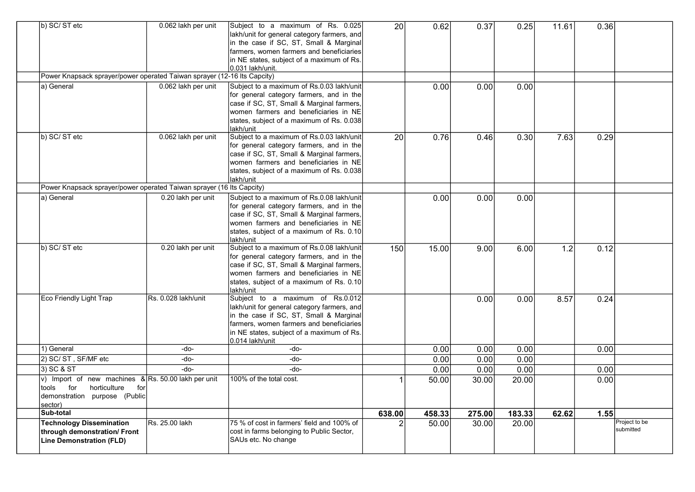| b) SC/ST etc<br>Power Knapsack sprayer/power operated Taiwan sprayer (12-16 Its Capcity)<br>a) General                                     | 0.062 lakh per unit<br>0.062 lakh per unit | Subject to a maximum of Rs. 0.025<br>lakh/unit for general category farmers, and<br>in the case if SC, ST, Small & Marginal<br>farmers, women farmers and beneficiaries<br>in NE states, subject of a maximum of Rs.<br>0.031 lakh/unit.<br>Subject to a maximum of Rs.0.03 lakh/unit<br>for general category farmers, and in the<br>case if SC, ST, Small & Marginal farmers,<br>women farmers and beneficiaries in NE<br>states, subject of a maximum of Rs. 0.038<br>lakh/unit | 20 <sup>1</sup> | 0.62<br>0.00 | 0.37<br>0.00 | 0.25<br>0.00 | 11.61 | 0.36 |                            |
|--------------------------------------------------------------------------------------------------------------------------------------------|--------------------------------------------|-----------------------------------------------------------------------------------------------------------------------------------------------------------------------------------------------------------------------------------------------------------------------------------------------------------------------------------------------------------------------------------------------------------------------------------------------------------------------------------|-----------------|--------------|--------------|--------------|-------|------|----------------------------|
| b) SC/ST etc                                                                                                                               | 0.062 lakh per unit                        | Subject to a maximum of Rs.0.03 lakh/unit<br>for general category farmers, and in the<br>case if SC, ST, Small & Marginal farmers,<br>women farmers and beneficiaries in NE<br>states, subject of a maximum of Rs. 0.038<br>lakh/unit                                                                                                                                                                                                                                             | $\overline{20}$ | 0.76         | 0.46         | 0.30         | 7.63  | 0.29 |                            |
| Power Knapsack sprayer/power operated Taiwan sprayer (16 lts Capcity)                                                                      |                                            |                                                                                                                                                                                                                                                                                                                                                                                                                                                                                   |                 |              |              |              |       |      |                            |
| a) General                                                                                                                                 | 0.20 lakh per unit                         | Subject to a maximum of Rs.0.08 lakh/unit<br>for general category farmers, and in the<br>case if SC, ST, Small & Marginal farmers,<br>women farmers and beneficiaries in NE $\mid$<br>states, subject of a maximum of Rs. 0.10<br>akh/unit                                                                                                                                                                                                                                        |                 | 0.00         | 0.00         | 0.00         |       |      |                            |
| b) SC/ST etc                                                                                                                               | 0.20 lakh per unit                         | Subject to a maximum of Rs.0.08 lakh/unit<br>for general category farmers, and in the<br>case if SC, ST, Small & Marginal farmers,<br>women farmers and beneficiaries in NE $\mathsf I$<br>states, subject of a maximum of Rs. 0.10<br>lakh/unit                                                                                                                                                                                                                                  | 150             | 15.00        | 9.00         | 6.00         | 1.2   | 0.12 |                            |
| Eco Friendly Light Trap                                                                                                                    | IRs. 0.028 lakh/unit                       | Subject to a maximum of Rs.0.012<br>lakh/unit for general category farmers, and<br>in the case if SC, ST, Small & Marginal<br>farmers, women farmers and beneficiaries<br>in NE states, subject of a maximum of Rs.<br>0.014 lakh/unit                                                                                                                                                                                                                                            |                 |              | 0.00         | 0.00         | 8.57  | 0.24 |                            |
| 1) General                                                                                                                                 | -do-                                       | -do-                                                                                                                                                                                                                                                                                                                                                                                                                                                                              |                 | 0.00         | 0.00         | 0.00         |       | 0.00 |                            |
| 2) SC/ ST, SF/MF etc                                                                                                                       | -do-                                       | -do-                                                                                                                                                                                                                                                                                                                                                                                                                                                                              |                 | 0.00         | 0.00         | 0.00         |       |      |                            |
| 3) SC & ST                                                                                                                                 | -do-                                       | -do-                                                                                                                                                                                                                                                                                                                                                                                                                                                                              |                 | 0.00         | 0.00         | 0.00         |       | 0.00 |                            |
| v) Import of new machines $\&R$ Rs. 50.00 lakh per unit<br>for<br>horticulture<br>for<br>tools<br>demonstration purpose (Public<br>sector) |                                            | 100% of the total cost.                                                                                                                                                                                                                                                                                                                                                                                                                                                           |                 | 50.00        | 30.00        | 20.00        |       | 0.00 |                            |
| Sub-total                                                                                                                                  |                                            |                                                                                                                                                                                                                                                                                                                                                                                                                                                                                   | 638.00          | 458.33       | 275.00       | 183.33       | 62.62 | 1.55 |                            |
| <b>Technology Dissemination</b><br>through demonstration/ Front<br><b>Line Demonstration (FLD)</b>                                         | Rs. 25.00 lakh                             | 75 % of cost in farmers' field and 100% of<br>cost in farms belonging to Public Sector,<br>SAUs etc. No change                                                                                                                                                                                                                                                                                                                                                                    |                 | 50.00        | 30.00        | 20.00        |       |      | Project to be<br>submitted |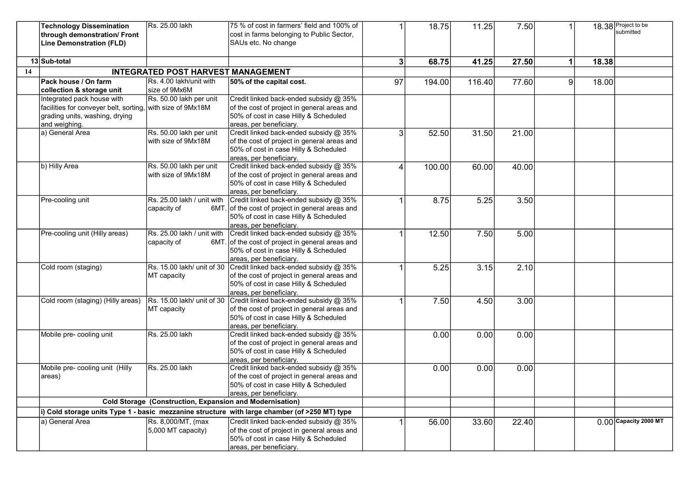|    | <b>Technology Dissemination</b>                            | Rs. 25.00 lakh                                           | 75 % of cost in farmers' field and 100% of                                                    | 1  | 18.75  | 11.25  | 7.50  | 1            |       | 18.38 Project to be                |
|----|------------------------------------------------------------|----------------------------------------------------------|-----------------------------------------------------------------------------------------------|----|--------|--------|-------|--------------|-------|------------------------------------|
|    | through demonstration/ Front                               |                                                          | cost in farms belonging to Public Sector,                                                     |    |        |        |       |              |       | submitted                          |
|    | Line Demonstration (FLD)                                   |                                                          | SAUs etc. No change                                                                           |    |        |        |       |              |       |                                    |
|    |                                                            |                                                          |                                                                                               |    |        |        |       |              |       |                                    |
|    | 13 Sub-total                                               |                                                          |                                                                                               | 3  | 68.75  | 41.25  | 27.50 | $\mathbf{1}$ | 18.38 |                                    |
| 14 |                                                            | <b>INTEGRATED POST HARVEST MANAGEMENT</b>                |                                                                                               |    |        |        |       |              |       |                                    |
|    | Pack house / On farm                                       | Rs. 4.00 lakh/unit with                                  | 50% of the capital cost.                                                                      | 97 | 194.00 | 116.40 | 77.60 | 9            | 18.00 |                                    |
|    | collection & storage unit                                  | size of 9Mx6M                                            |                                                                                               |    |        |        |       |              |       |                                    |
|    | Integrated pack house with                                 | Rs. 50.00 lakh per unit                                  | Credit linked back-ended subsidy @ 35%                                                        |    |        |        |       |              |       |                                    |
|    | facilities for conveyer belt, sorting, with size of 9Mx18M |                                                          | of the cost of project in general areas and                                                   |    |        |        |       |              |       |                                    |
|    | grading units, washing, drying                             |                                                          | 50% of cost in case Hilly & Scheduled                                                         |    |        |        |       |              |       |                                    |
|    | and weighing.                                              |                                                          | areas, per beneficiary.                                                                       |    |        |        |       |              |       |                                    |
|    | a) General Area                                            | Rs. 50.00 lakh per unit                                  | Credit linked back-ended subsidy @ 35%                                                        | 3  | 52.50  | 31.50  | 21.00 |              |       |                                    |
|    |                                                            | with size of 9Mx18M                                      | of the cost of project in general areas and<br>50% of cost in case Hilly & Scheduled          |    |        |        |       |              |       |                                    |
|    |                                                            |                                                          | areas, per beneficiarv.                                                                       |    |        |        |       |              |       |                                    |
|    | b) Hilly Area                                              | Rs. 50.00 lakh per unit                                  | Credit linked back-ended subsidy @ 35%                                                        | 4  | 100.00 | 60.00  | 40.00 |              |       |                                    |
|    |                                                            | with size of 9Mx18M                                      | of the cost of project in general areas and                                                   |    |        |        |       |              |       |                                    |
|    |                                                            |                                                          | 50% of cost in case Hilly & Scheduled                                                         |    |        |        |       |              |       |                                    |
|    |                                                            |                                                          | areas, per beneficiary.                                                                       |    |        |        |       |              |       |                                    |
|    | Pre-cooling unit                                           | Rs. 25.00 lakh / unit with                               | Credit linked back-ended subsidy @ 35%                                                        |    | 8.75   | 5.25   | 3.50  |              |       |                                    |
|    |                                                            | capacity of                                              | 6MT. of the cost of project in general areas and                                              |    |        |        |       |              |       |                                    |
|    |                                                            |                                                          | 50% of cost in case Hilly & Scheduled                                                         |    |        |        |       |              |       |                                    |
|    |                                                            |                                                          | areas, per beneficiary.                                                                       |    |        |        |       |              |       |                                    |
|    | Pre-cooling unit (Hilly areas)                             | Rs. 25.00 lakh / unit with                               | Credit linked back-ended subsidy @ 35%<br>6MT. of the cost of project in general areas and    |    | 12.50  | 7.50   | 5.00  |              |       |                                    |
|    |                                                            | capacity of                                              | 50% of cost in case Hilly & Scheduled                                                         |    |        |        |       |              |       |                                    |
|    |                                                            |                                                          | areas, per beneficiary.                                                                       |    |        |        |       |              |       |                                    |
|    | Cold room (staging)                                        | Rs. 15.00 lakh/ unit of 30                               | Credit linked back-ended subsidy @ 35%                                                        | 1  | 5.25   | 3.15   | 2.10  |              |       |                                    |
|    |                                                            | MT capacity                                              | of the cost of project in general areas and                                                   |    |        |        |       |              |       |                                    |
|    |                                                            |                                                          | 50% of cost in case Hilly & Scheduled                                                         |    |        |        |       |              |       |                                    |
|    |                                                            |                                                          | areas, per beneficiary.                                                                       |    |        |        |       |              |       |                                    |
|    | Cold room (staging) (Hilly areas)                          | Rs. 15.00 lakh/ unit of 30                               | Credit linked back-ended subsidy @ 35%                                                        | 1  | 7.50   | 4.50   | 3.00  |              |       |                                    |
|    |                                                            | MT capacity                                              | of the cost of project in general areas and                                                   |    |        |        |       |              |       |                                    |
|    |                                                            |                                                          | 50% of cost in case Hilly & Scheduled<br>areas, per beneficiary.                              |    |        |        |       |              |       |                                    |
|    | Mobile pre- cooling unit                                   | Rs. 25.00 lakh                                           | Credit linked back-ended subsidy @ 35%                                                        |    | 0.00   | 0.00   | 0.00  |              |       |                                    |
|    |                                                            |                                                          | of the cost of project in general areas and                                                   |    |        |        |       |              |       |                                    |
|    |                                                            |                                                          | 50% of cost in case Hilly & Scheduled                                                         |    |        |        |       |              |       |                                    |
|    |                                                            |                                                          | areas, per beneficiary.                                                                       |    |        |        |       |              |       |                                    |
|    | Mobile pre- cooling unit (Hilly                            | Rs. 25.00 lakh                                           | Credit linked back-ended subsidy @ 35%                                                        |    | 0.00   | 0.00   | 0.00  |              |       |                                    |
|    | areas)                                                     |                                                          | of the cost of project in general areas and                                                   |    |        |        |       |              |       |                                    |
|    |                                                            |                                                          | 50% of cost in case Hilly & Scheduled                                                         |    |        |        |       |              |       |                                    |
|    |                                                            | Cold Storage (Construction, Expansion and Modernisation) | areas, per beneficiary.                                                                       |    |        |        |       |              |       |                                    |
|    |                                                            |                                                          |                                                                                               |    |        |        |       |              |       |                                    |
|    |                                                            |                                                          | i) Cold storage units Type 1 - basic mezzanine structure with large chamber (of >250 MT) type |    |        |        |       |              |       |                                    |
|    | a) General Area                                            | Rs. 8,000/MT, (max                                       | Credit linked back-ended subsidy @ 35%                                                        |    | 56.00  | 33.60  | 22.40 |              |       | $\overline{0.00}$ Capacity 2000 MT |
|    |                                                            | 5,000 MT capacity)                                       | of the cost of project in general areas and<br>50% of cost in case Hilly & Scheduled          |    |        |        |       |              |       |                                    |
|    |                                                            |                                                          | areas, per beneficiary.                                                                       |    |        |        |       |              |       |                                    |
|    |                                                            |                                                          |                                                                                               |    |        |        |       |              |       |                                    |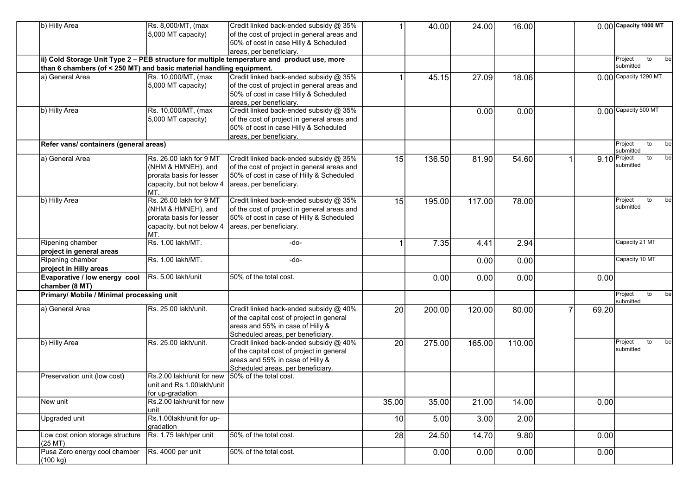| b) Hilly Area                                                        | Rs. 8,000/MT, (max                            | Credit linked back-ended subsidy @ 35%                                                      |       | 40.00  | 24.00  | 16.00                                                                               |  |                     | $0.00$ Capacity 1000 MT                 |
|----------------------------------------------------------------------|-----------------------------------------------|---------------------------------------------------------------------------------------------|-------|--------|--------|-------------------------------------------------------------------------------------|--|---------------------|-----------------------------------------|
|                                                                      | 5,000 MT capacity)                            | of the cost of project in general areas and<br>50% of cost in case Hilly & Scheduled        |       |        |        |                                                                                     |  |                     |                                         |
|                                                                      |                                               | areas, per beneficiary.                                                                     |       |        |        |                                                                                     |  |                     |                                         |
|                                                                      |                                               | ii) Cold Storage Unit Type 2 - PEB structure for multiple temperature and product use, more |       |        |        | 18.06<br>0.00<br>54.60<br>78.00<br>2.94<br>0.00<br>0.00<br>80.00<br>110.00<br>14.00 |  | Project<br>to<br>be |                                         |
| than 6 chambers (of < 250 MT) and basic material handling equipment. |                                               |                                                                                             |       |        |        |                                                                                     |  |                     | submitted                               |
| la) General Area                                                     | Rs. 10,000/MT, (max                           | Credit linked back-ended subsidy @ 35%                                                      |       | 45.15  | 27.09  |                                                                                     |  |                     | $0.00$ Capacity 1290 MT                 |
|                                                                      | 5,000 MT capacity)                            | of the cost of project in general areas and                                                 |       |        |        |                                                                                     |  |                     |                                         |
|                                                                      |                                               | 50% of cost in case Hilly & Scheduled                                                       |       |        |        |                                                                                     |  |                     |                                         |
|                                                                      |                                               | areas, per beneficiary.                                                                     |       |        |        |                                                                                     |  |                     |                                         |
| b) Hilly Area                                                        | Rs. 10,000/MT, (max                           | Credit linked back-ended subsidy @ 35%                                                      |       |        | 0.00   |                                                                                     |  |                     | 0.00 Capacity 500 MT                    |
|                                                                      | 5,000 MT capacity)                            | of the cost of project in general areas and<br>50% of cost in case Hilly & Scheduled        |       |        |        |                                                                                     |  |                     |                                         |
|                                                                      |                                               | areas, per beneficiary.                                                                     |       |        |        |                                                                                     |  |                     |                                         |
| Refer vans/ containers (general areas)                               |                                               |                                                                                             |       |        |        |                                                                                     |  |                     | Project<br>to<br>be                     |
| a) General Area                                                      | Rs. 26.00 lakh for 9 MT                       | Credit linked back-ended subsidy @ 35%                                                      | 15    | 136.50 | 81.90  |                                                                                     |  |                     | submitted<br>$9.10$ Project<br>to<br>be |
|                                                                      | (NHM & HMNEH), and                            | of the cost of project in general areas and                                                 |       |        |        |                                                                                     |  |                     | submitted                               |
|                                                                      | prorata basis for lesser                      | 50% of cost in case of Hilly & Scheduled                                                    |       |        |        |                                                                                     |  |                     |                                         |
|                                                                      | capacity, but not below 4                     | areas, per beneficiary.                                                                     |       |        |        |                                                                                     |  |                     |                                         |
|                                                                      | IMT.                                          |                                                                                             |       |        |        |                                                                                     |  |                     |                                         |
| b) Hilly Area                                                        | Rs. 26.00 lakh for 9 MT                       | Credit linked back-ended subsidy @ 35%                                                      | 15    | 195.00 | 117.00 |                                                                                     |  |                     | Project<br>to<br>be                     |
|                                                                      | (NHM & HMNEH), and                            | of the cost of project in general areas and                                                 |       |        |        |                                                                                     |  |                     | submitted                               |
|                                                                      | prorata basis for lesser                      | 50% of cost in case of Hilly & Scheduled                                                    |       |        |        |                                                                                     |  |                     |                                         |
|                                                                      | capacity, but not below 4                     | areas, per beneficiary.                                                                     |       |        |        |                                                                                     |  |                     |                                         |
|                                                                      | IMT.                                          |                                                                                             |       |        |        |                                                                                     |  |                     |                                         |
| Ripening chamber                                                     | Rs. 1.00 lakh/MT.                             | -do-                                                                                        |       | 7.35   | 4.41   |                                                                                     |  |                     | Capacity 21 MT                          |
| project in general areas                                             |                                               |                                                                                             |       |        |        |                                                                                     |  |                     | Capacity 10 MT                          |
| Ripening chamber<br>project in Hilly areas                           | Rs. 1.00 lakh/MT.                             | -do-                                                                                        |       |        | 0.00   |                                                                                     |  |                     |                                         |
| Evaporative / low energy cool                                        | Rs. 5.00 lakh/unit                            | 50% of the total cost.                                                                      |       | 0.00   | 0.00   |                                                                                     |  | 0.00                |                                         |
| chamber (8 MT)                                                       |                                               |                                                                                             |       |        |        |                                                                                     |  |                     |                                         |
| Primary/ Mobile / Minimal processing unit                            |                                               |                                                                                             |       |        |        |                                                                                     |  |                     | Project<br>to<br>be                     |
| a) General Area                                                      | Rs. 25.00 lakh/unit.                          | Credit linked back-ended subsidy @ 40%                                                      | 20    | 200.00 | 120.00 |                                                                                     |  | 69.20               | submitted                               |
|                                                                      |                                               | of the capital cost of project in general                                                   |       |        |        |                                                                                     |  |                     |                                         |
|                                                                      |                                               | areas and 55% in case of Hilly &                                                            |       |        |        |                                                                                     |  |                     |                                         |
|                                                                      |                                               | Scheduled areas, per beneficiary.                                                           |       |        |        |                                                                                     |  |                     |                                         |
| b) Hilly Area                                                        | Rs. 25.00 lakh/unit.                          | Credit linked back-ended subsidy @ 40%                                                      | 20    | 275.00 | 165.00 |                                                                                     |  |                     | Project<br>to<br>be                     |
|                                                                      |                                               | of the capital cost of project in general                                                   |       |        |        |                                                                                     |  |                     | submitted                               |
|                                                                      |                                               | areas and 55% in case of Hilly &                                                            |       |        |        |                                                                                     |  |                     |                                         |
|                                                                      |                                               | Scheduled areas, per beneficiary.                                                           |       |        |        |                                                                                     |  |                     |                                         |
| Preservation unit (low cost)                                         | Rs.2.00 lakh/unit for new                     | 50% of the total cost.                                                                      |       |        |        |                                                                                     |  |                     |                                         |
|                                                                      | unit and Rs.1.00lakh/unit                     |                                                                                             |       |        |        |                                                                                     |  |                     |                                         |
|                                                                      | for up-gradation<br>Rs.2.00 lakh/unit for new |                                                                                             |       |        |        |                                                                                     |  |                     |                                         |
| New unit                                                             | unit                                          |                                                                                             | 35.00 | 35.00  | 21.00  |                                                                                     |  | 0.00                |                                         |
| Upgraded unit                                                        | Rs.1.00lakh/unit for up-                      |                                                                                             | 10    | 5.00   | 3.00   | 2.00                                                                                |  |                     |                                         |
|                                                                      | gradation                                     |                                                                                             |       |        |        |                                                                                     |  |                     |                                         |
| Low cost onion storage structure                                     | Rs. 1.75 lakh/per unit                        | 50% of the total cost.                                                                      | 28    | 24.50  | 14.70  | 9.80                                                                                |  | 0.00                |                                         |
| $(25$ MT $)$                                                         |                                               |                                                                                             |       |        |        |                                                                                     |  |                     |                                         |
| Pusa Zero energy cool chamber                                        | Rs. 4000 per unit                             | 50% of the total cost.                                                                      |       | 0.00   | 0.00   | 0.00                                                                                |  | 0.00                |                                         |
| (100 kg)                                                             |                                               |                                                                                             |       |        |        |                                                                                     |  |                     |                                         |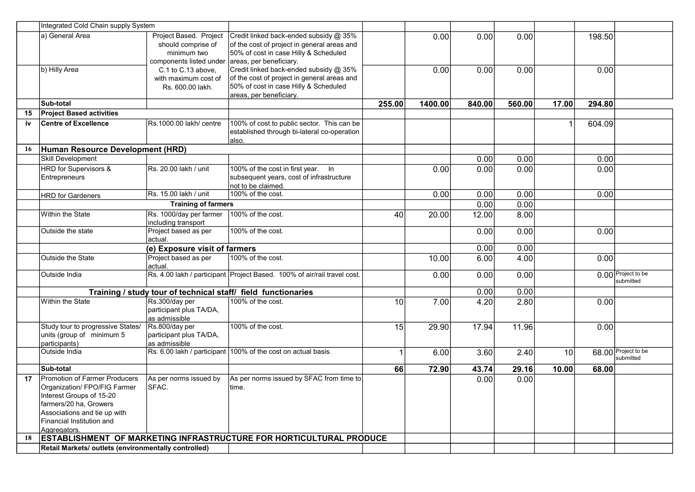|    | Integrated Cold Chain supply System                                                                                                                                                              |                                                                                        |                                                                                                                                                           |        |         |        |        |                 |        |                                 |
|----|--------------------------------------------------------------------------------------------------------------------------------------------------------------------------------------------------|----------------------------------------------------------------------------------------|-----------------------------------------------------------------------------------------------------------------------------------------------------------|--------|---------|--------|--------|-----------------|--------|---------------------------------|
|    | a) General Area                                                                                                                                                                                  | Project Based. Project<br>should comprise of<br>minimum two<br>components listed under | Credit linked back-ended subsidy @ 35%<br>of the cost of project in general areas and<br>50% of cost in case Hilly & Scheduled<br>areas, per beneficiary. |        | 0.00    | 0.00   | 0.00   |                 | 198.50 |                                 |
|    | b) Hilly Area                                                                                                                                                                                    | C.1 to C.13 above,<br>with maximum cost of<br>Rs. 600.00 lakh.                         | Credit linked back-ended subsidy @ 35%<br>of the cost of project in general areas and<br>50% of cost in case Hilly & Scheduled<br>areas, per beneficiary. |        | 0.00    | 0.00   | 0.00   |                 | 0.00   |                                 |
|    | Sub-total                                                                                                                                                                                        |                                                                                        |                                                                                                                                                           | 255.00 | 1400.00 | 840.00 | 560.00 | 17.00           | 294.80 |                                 |
| 15 | <b>Project Based activities</b>                                                                                                                                                                  |                                                                                        |                                                                                                                                                           |        |         |        |        |                 |        |                                 |
| iv | <b>Centre of Excellence</b>                                                                                                                                                                      | Rs.1000.00 lakh/ centre                                                                | 100% of cost to public sector. This can be<br>established through bi-lateral co-operation<br>also.                                                        |        |         |        |        |                 | 604.09 |                                 |
| 16 | Human Resource Development (HRD)                                                                                                                                                                 |                                                                                        |                                                                                                                                                           |        |         |        |        |                 |        |                                 |
|    | <b>Skill Development</b>                                                                                                                                                                         |                                                                                        |                                                                                                                                                           |        |         | 0.00   | 0.00   |                 | 0.00   |                                 |
|    | <b>HRD</b> for Supervisors &<br>Entrepreneurs                                                                                                                                                    | Rs. 20.00 lakh / unit                                                                  | 100% of the cost in first year. In<br>subsequent years, cost of infrastructure<br>not to be claimed.                                                      |        | 0.00    | 0.00   | 0.00   |                 | 0.00   |                                 |
|    | <b>HRD</b> for Gardeners                                                                                                                                                                         | Rs. 15.00 lakh / unit                                                                  | 100% of the cost.                                                                                                                                         |        | 0.00    | 0.00   | 0.00   |                 | 0.00   |                                 |
|    |                                                                                                                                                                                                  | <b>Training of farmers</b>                                                             |                                                                                                                                                           |        |         | 0.00   | 0.00   |                 |        |                                 |
|    | Within the State                                                                                                                                                                                 | Rs. 1000/day per farmer<br>including transport                                         | 100% of the cost.                                                                                                                                         | 40     | 20.00   | 12.00  | 8.00   |                 |        |                                 |
|    | Outside the state                                                                                                                                                                                | Project based as per<br>actual.                                                        | 100% of the cost.                                                                                                                                         |        |         | 0.00   | 0.00   |                 | 0.00   |                                 |
|    |                                                                                                                                                                                                  | (e) Exposure visit of farmers                                                          |                                                                                                                                                           |        |         | 0.00   | 0.00   |                 |        |                                 |
|    | Outside the State                                                                                                                                                                                | Project based as per<br>actual.                                                        | 100% of the cost.                                                                                                                                         |        | 10.00   | 6.00   | 4.00   |                 | 0.00   |                                 |
|    | Outside India                                                                                                                                                                                    |                                                                                        | Rs. 4.00 lakh / participant Project Based. 100% of air/rail travel cost.                                                                                  |        | 0.00    | 0.00   | 0.00   |                 |        | 0.00 Project to be<br>submitted |
|    |                                                                                                                                                                                                  |                                                                                        | Training / study tour of technical staff/ field functionaries                                                                                             |        |         | 0.00   | 0.00   |                 |        |                                 |
|    | Within the State                                                                                                                                                                                 | Rs.300/day per<br>participant plus TA/DA,<br>as admissible                             | 100% of the cost.                                                                                                                                         | 10     | 7.00    | 4.20   | 2.80   |                 | 0.00   |                                 |
|    | Study tour to progressive States/<br>units (group of minimum 5<br>participants)                                                                                                                  | Rs.800/day per<br>participant plus TA/DA,<br>as admissible                             | 100% of the cost.                                                                                                                                         | 15     | 29.90   | 17.94  | 11.96  |                 | 0.00   |                                 |
|    | Outside India                                                                                                                                                                                    | Rs. 6.00 lakh / participant                                                            | 100% of the cost on actual basis.                                                                                                                         |        | 6.00    | 3.60   | 2.40   | $\overline{10}$ |        | 68.00 Project to be             |
|    | Sub-total                                                                                                                                                                                        |                                                                                        |                                                                                                                                                           | 66     | 72.90   | 43.74  | 29.16  | 10.00           | 68.00  |                                 |
| 17 | Promotion of Farmer Producers<br>Organization/ FPO/FIG Farmer<br>Interest Groups of 15-20<br>farmers/20 ha, Growers<br>Associations and tie up with<br>Financial Institution and<br>Aggregators. | As per norms issued by<br>SFAC.                                                        | As per norms issued by SFAC from time to<br>time.                                                                                                         |        |         | 0.00   | 0.00   |                 |        |                                 |
| 18 |                                                                                                                                                                                                  |                                                                                        | <b>ESTABLISHMENT OF MARKETING INFRASTRUCTURE FOR HORTICULTURAL PRODUCE</b>                                                                                |        |         |        |        |                 |        |                                 |
|    | Retail Markets/ outlets (environmentally controlled)                                                                                                                                             |                                                                                        |                                                                                                                                                           |        |         |        |        |                 |        |                                 |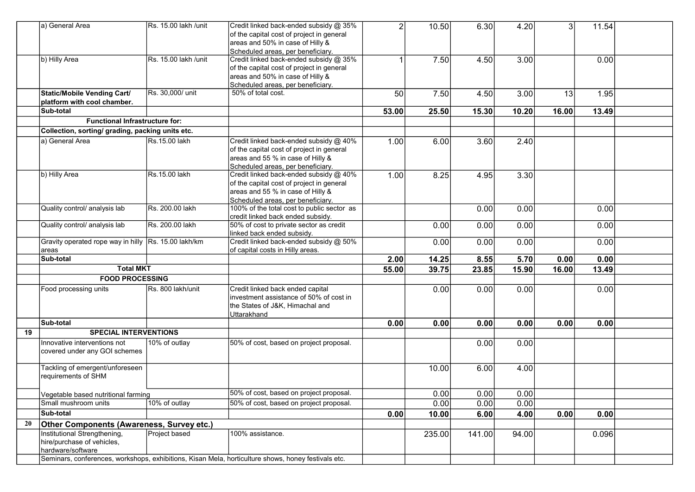|    | a) General Area                                                                 | Rs. 15.00 lakh /unit | Credit linked back-ended subsidy @ 35%<br>of the capital cost of project in general<br>areas and 50% in case of Hilly &<br>Scheduled areas, per beneficiary.  |       | 10.50  | 6.30   | 4.20  | 3     | 11.54 |  |
|----|---------------------------------------------------------------------------------|----------------------|---------------------------------------------------------------------------------------------------------------------------------------------------------------|-------|--------|--------|-------|-------|-------|--|
|    | b) Hilly Area                                                                   | Rs. 15.00 lakh /unit | Credit linked back-ended subsidy @ 35%<br>of the capital cost of project in general<br>areas and 50% in case of Hilly &<br>Scheduled areas, per beneficiary.  |       | 7.50   | 4.50   | 3.00  |       | 0.00  |  |
|    | Static/Mobile Vending Cart/<br>platform with cool chamber.                      | Rs. 30,000/ unit     | 50% of total cost.                                                                                                                                            | 50    | 7.50   | 4.50   | 3.00  | 13    | 1.95  |  |
|    | Sub-total                                                                       |                      |                                                                                                                                                               | 53.00 | 25.50  | 15.30  | 10.20 | 16.00 | 13.49 |  |
|    | <b>Functional Infrastructure for:</b>                                           |                      |                                                                                                                                                               |       |        |        |       |       |       |  |
|    | Collection, sorting/ grading, packing units etc.                                |                      |                                                                                                                                                               |       |        |        |       |       |       |  |
|    | a) General Area                                                                 | Rs.15.00 lakh        | Credit linked back-ended subsidy @ 40%<br>of the capital cost of project in general<br>areas and 55 % in case of Hilly &<br>Scheduled areas, per beneficiary. | 1.00  | 6.00   | 3.60   | 2.40  |       |       |  |
|    | b) Hilly Area                                                                   | Rs.15.00 lakh        | Credit linked back-ended subsidy @ 40%<br>of the capital cost of project in general<br>areas and 55 % in case of Hilly &<br>Scheduled areas, per beneficiary. | 1.00  | 8.25   | 4.95   | 3.30  |       |       |  |
|    | Quality control/ analysis lab                                                   | Rs. 200.00 lakh      | 100% of the total cost to public sector as<br>credit linked back ended subsidy.                                                                               |       |        | 0.00   | 0.00  |       | 0.00  |  |
|    | Quality control/ analysis lab                                                   | Rs. 200.00 lakh      | 50% of cost to private sector as credit<br>linked back ended subsidy.                                                                                         |       | 0.00   | 0.00   | 0.00  |       | 0.00  |  |
|    | Gravity operated rope way in hilly Rs. 15.00 lakh/km<br> areas                  |                      | Credit linked back-ended subsidy @ 50%<br>of capital costs in Hilly areas.                                                                                    |       | 0.00   | 0.00   | 0.00  |       | 0.00  |  |
|    | Sub-total                                                                       |                      |                                                                                                                                                               | 2.00  | 14.25  | 8.55   | 5.70  | 0.00  | 0.00  |  |
|    | <b>Total MKT</b>                                                                |                      |                                                                                                                                                               | 55.00 | 39.75  | 23.85  | 15.90 | 16.00 | 13.49 |  |
|    | <b>FOOD PROCESSING</b>                                                          |                      |                                                                                                                                                               |       |        |        |       |       |       |  |
|    | Food processing units                                                           | Rs. 800 lakh/unit    | Credit linked back ended capital<br>investment assistance of 50% of cost in<br>the States of J&K, Himachal and<br>Uttarakhand                                 |       | 0.00   | 0.00   | 0.00  |       | 0.00  |  |
|    | Sub-total                                                                       |                      |                                                                                                                                                               | 0.00  | 0.00   | 0.00   | 0.00  | 0.00  | 0.00  |  |
| 19 | <b>SPECIAL INTERVENTIONS</b>                                                    |                      |                                                                                                                                                               |       |        |        |       |       |       |  |
|    | Innovative interventions not<br>covered under any GOI schemes                   | 10% of outlay        | 50% of cost, based on project proposal.                                                                                                                       |       |        | 0.00   | 0.00  |       |       |  |
|    | Tackling of emergent/unforeseen<br>requirements of SHM                          |                      |                                                                                                                                                               |       | 10.00  | 6.00   | 4.00  |       |       |  |
|    | Vegetable based nutritional farming                                             |                      | 50% of cost, based on project proposal.                                                                                                                       |       | 0.00   | 0.00   | 0.00  |       |       |  |
|    | Small mushroom units                                                            | 10% of outlay        | 50% of cost, based on project proposal.                                                                                                                       |       | 0.00   | 0.00   | 0.00  |       |       |  |
|    | <b>Sub-total</b>                                                                |                      |                                                                                                                                                               | 0.00  | 10.00  | 6.00   | 4.00  | 0.00  | 0.00  |  |
| 20 | Other Components (Awareness, Survey etc.)                                       |                      |                                                                                                                                                               |       |        |        |       |       |       |  |
|    | Institutional Strengthening,<br>hire/purchase of vehicles,<br>hardware/software | Project based        | 100% assistance.<br>Seminars, conferences, workshops, exhibitions, Kisan Mela, horticulture shows, honey festivals etc.                                       |       | 235.00 | 141.00 | 94.00 |       | 0.096 |  |